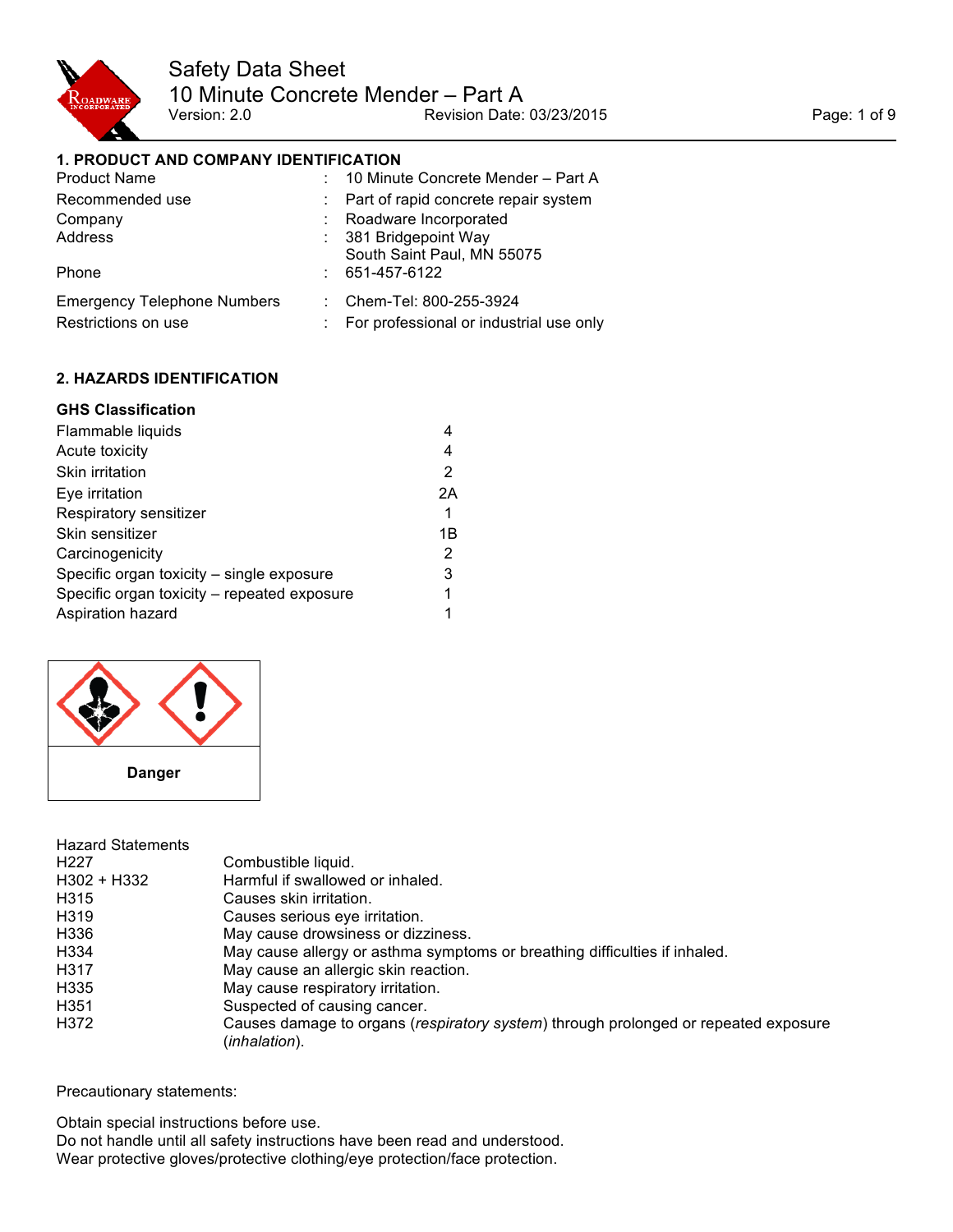

## **1. PRODUCT AND COMPANY IDENTIFICATION**

| <b>Product Name</b>                | : 10 Minute Concrete Mender - Part A    |
|------------------------------------|-----------------------------------------|
| Recommended use                    | Part of rapid concrete repair system    |
| Company                            | Roadware Incorporated                   |
| Address                            | 381 Bridgepoint Way                     |
|                                    | South Saint Paul, MN 55075              |
| Phone                              | 651-457-6122                            |
| <b>Emergency Telephone Numbers</b> | Chem-Tel: 800-255-3924                  |
| Restrictions on use                | For professional or industrial use only |

## **2. HAZARDS IDENTIFICATION**

## **GHS Classification**

| Flammable liquids                           |    |
|---------------------------------------------|----|
| Acute toxicity                              | 4  |
| Skin irritation                             | 2  |
| Eye irritation                              | 2A |
| Respiratory sensitizer                      | 1  |
| Skin sensitizer                             | 1Β |
| Carcinogenicity                             | 2  |
| Specific organ toxicity – single exposure   | 3  |
| Specific organ toxicity – repeated exposure | 1  |
| Aspiration hazard                           |    |



| Combustible liquid.                                                                                  |
|------------------------------------------------------------------------------------------------------|
| Harmful if swallowed or inhaled.                                                                     |
| Causes skin irritation.                                                                              |
| Causes serious eye irritation.                                                                       |
| May cause drowsiness or dizziness.                                                                   |
| May cause allergy or asthma symptoms or breathing difficulties if inhaled.                           |
| May cause an allergic skin reaction.                                                                 |
| May cause respiratory irritation.                                                                    |
| Suspected of causing cancer.                                                                         |
| Causes damage to organs (respiratory system) through prolonged or repeated exposure<br>(inhalation). |
|                                                                                                      |

Precautionary statements:

Obtain special instructions before use. Do not handle until all safety instructions have been read and understood. Wear protective gloves/protective clothing/eye protection/face protection.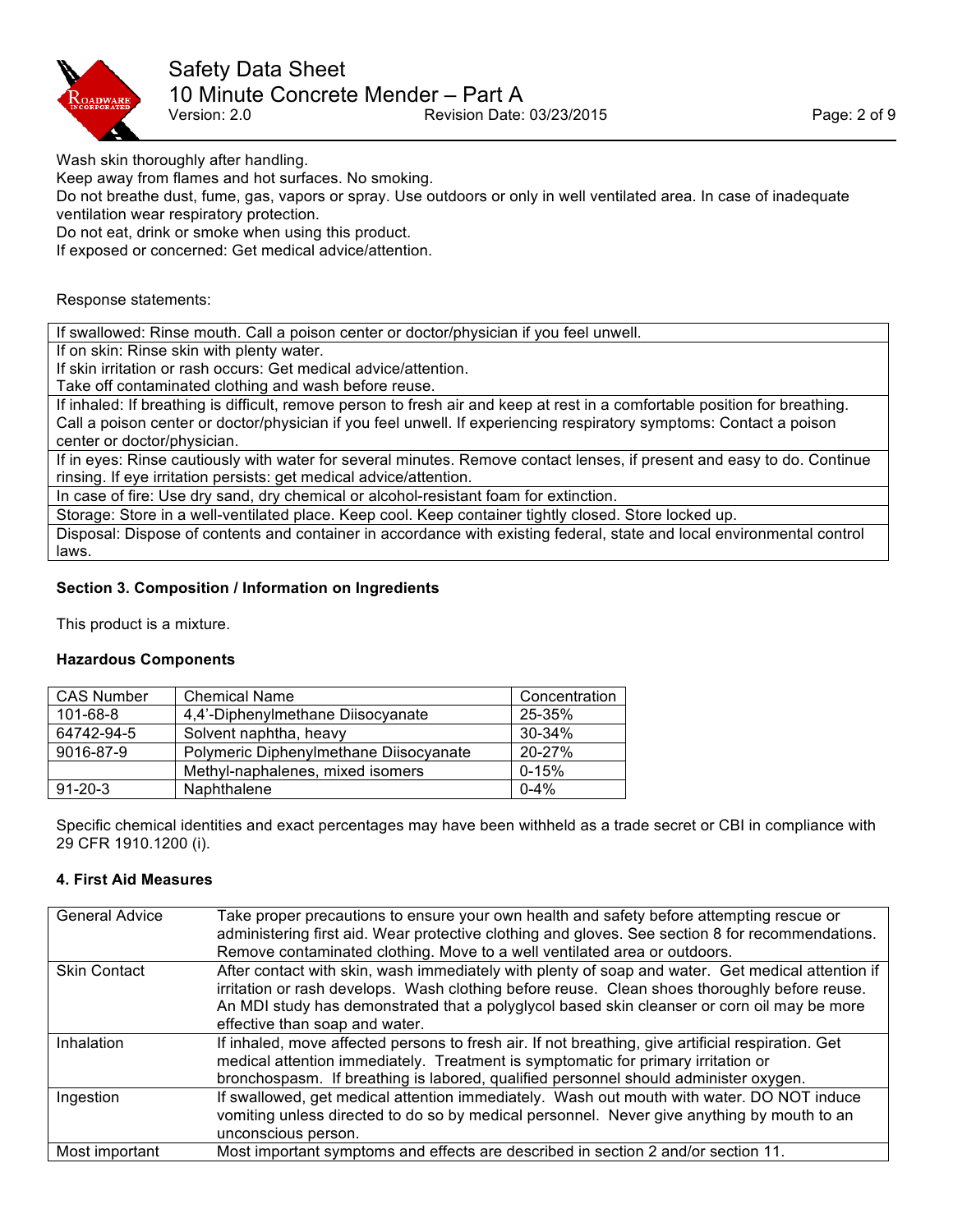

Wash skin thoroughly after handling.

Keep away from flames and hot surfaces. No smoking.

Do not breathe dust, fume, gas, vapors or spray. Use outdoors or only in well ventilated area. In case of inadequate ventilation wear respiratory protection.

Do not eat, drink or smoke when using this product.

If exposed or concerned: Get medical advice/attention.

#### Response statements:

If swallowed: Rinse mouth. Call a poison center or doctor/physician if you feel unwell.

If on skin: Rinse skin with plenty water.

If skin irritation or rash occurs: Get medical advice/attention.

Take off contaminated clothing and wash before reuse.

If inhaled: If breathing is difficult, remove person to fresh air and keep at rest in a comfortable position for breathing. Call a poison center or doctor/physician if you feel unwell. If experiencing respiratory symptoms: Contact a poison center or doctor/physician.

If in eyes: Rinse cautiously with water for several minutes. Remove contact lenses, if present and easy to do. Continue rinsing. If eye irritation persists: get medical advice/attention.

In case of fire: Use dry sand, dry chemical or alcohol-resistant foam for extinction.

Storage: Store in a well-ventilated place. Keep cool. Keep container tightly closed. Store locked up.

Disposal: Dispose of contents and container in accordance with existing federal, state and local environmental control laws.

## **Section 3. Composition / Information on Ingredients**

This product is a mixture.

#### **Hazardous Components**

| <b>CAS Number</b> | <b>Chemical Name</b>                   | Concentration |
|-------------------|----------------------------------------|---------------|
| $101 - 68 - 8$    | 4,4'-Diphenylmethane Diisocyanate      | 25-35%        |
| 64742-94-5        | Solvent naphtha, heavy                 | 30-34%        |
| 9016-87-9         | Polymeric Diphenylmethane Diisocyanate | 20-27%        |
|                   | Methyl-naphalenes, mixed isomers       | $0 - 15%$     |
| $91 - 20 - 3$     | Naphthalene                            | $0 - 4%$      |

Specific chemical identities and exact percentages may have been withheld as a trade secret or CBI in compliance with 29 CFR 1910.1200 (i).

#### **4. First Aid Measures**

| <b>General Advice</b> | Take proper precautions to ensure your own health and safety before attempting rescue or<br>administering first aid. Wear protective clothing and gloves. See section 8 for recommendations.<br>Remove contaminated clothing. Move to a well ventilated area or outdoors.                                                           |
|-----------------------|-------------------------------------------------------------------------------------------------------------------------------------------------------------------------------------------------------------------------------------------------------------------------------------------------------------------------------------|
| <b>Skin Contact</b>   | After contact with skin, wash immediately with plenty of soap and water. Get medical attention if<br>irritation or rash develops. Wash clothing before reuse. Clean shoes thoroughly before reuse.<br>An MDI study has demonstrated that a polyglycol based skin cleanser or corn oil may be more<br>effective than soap and water. |
| Inhalation            | If inhaled, move affected persons to fresh air. If not breathing, give artificial respiration. Get<br>medical attention immediately. Treatment is symptomatic for primary irritation or<br>bronchospasm. If breathing is labored, qualified personnel should administer oxygen.                                                     |
| Ingestion             | If swallowed, get medical attention immediately. Wash out mouth with water. DO NOT induce<br>vomiting unless directed to do so by medical personnel. Never give anything by mouth to an<br>unconscious person.                                                                                                                      |
| Most important        | Most important symptoms and effects are described in section 2 and/or section 11.                                                                                                                                                                                                                                                   |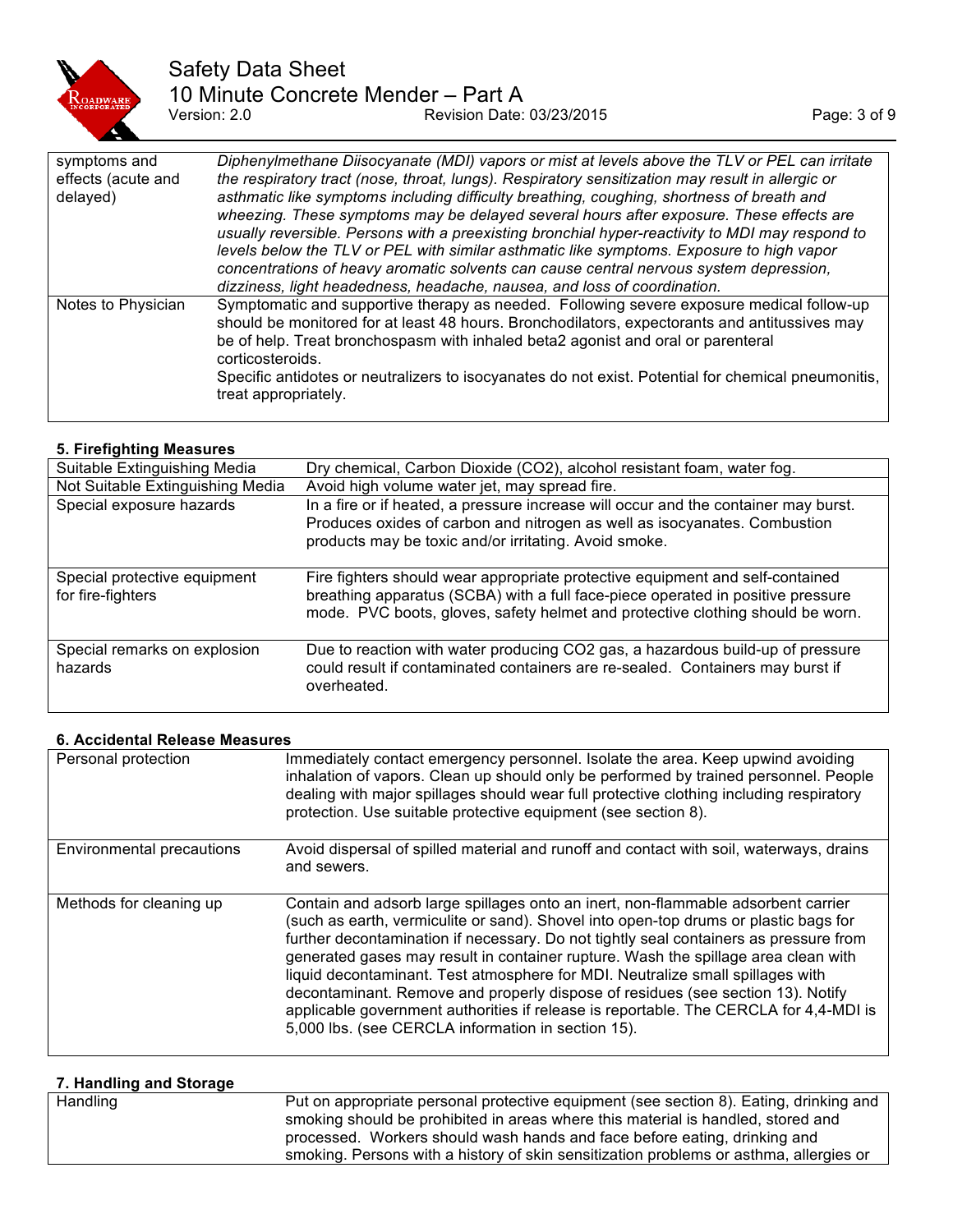

# Safety Data Sheet 10 Minute Concrete Mender – Part A<br>Version: 2.0 Revision Date: Provision Date: 03/23/2015 Page: 3 of 9

| symptoms and<br>effects (acute and<br>delayed) | Diphenylmethane Diisocyanate (MDI) vapors or mist at levels above the TLV or PEL can irritate<br>the respiratory tract (nose, throat, lungs). Respiratory sensitization may result in allergic or<br>asthmatic like symptoms including difficulty breathing, coughing, shortness of breath and<br>wheezing. These symptoms may be delayed several hours after exposure. These effects are<br>usually reversible. Persons with a preexisting bronchial hyper-reactivity to MDI may respond to<br>levels below the TLV or PEL with similar asthmatic like symptoms. Exposure to high vapor<br>concentrations of heavy aromatic solvents can cause central nervous system depression,<br>dizziness, light headedness, headache, nausea, and loss of coordination. |
|------------------------------------------------|----------------------------------------------------------------------------------------------------------------------------------------------------------------------------------------------------------------------------------------------------------------------------------------------------------------------------------------------------------------------------------------------------------------------------------------------------------------------------------------------------------------------------------------------------------------------------------------------------------------------------------------------------------------------------------------------------------------------------------------------------------------|
| Notes to Physician                             | Symptomatic and supportive therapy as needed. Following severe exposure medical follow-up<br>should be monitored for at least 48 hours. Bronchodilators, expectorants and antitussives may<br>be of help. Treat bronchospasm with inhaled beta2 agonist and oral or parenteral<br>corticosteroids.<br>Specific antidotes or neutralizers to isocyanates do not exist. Potential for chemical pneumonitis,<br>treat appropriately.                                                                                                                                                                                                                                                                                                                              |

## **5. Firefighting Measures**

| Suitable Extinguishing Media                      | Dry chemical, Carbon Dioxide (CO2), alcohol resistant foam, water fog.                                                                                                                                                                             |
|---------------------------------------------------|----------------------------------------------------------------------------------------------------------------------------------------------------------------------------------------------------------------------------------------------------|
| Not Suitable Extinguishing Media                  | Avoid high volume water jet, may spread fire.                                                                                                                                                                                                      |
| Special exposure hazards                          | In a fire or if heated, a pressure increase will occur and the container may burst.<br>Produces oxides of carbon and nitrogen as well as isocyanates. Combustion<br>products may be toxic and/or irritating. Avoid smoke.                          |
| Special protective equipment<br>for fire-fighters | Fire fighters should wear appropriate protective equipment and self-contained<br>breathing apparatus (SCBA) with a full face-piece operated in positive pressure<br>mode. PVC boots, gloves, safety helmet and protective clothing should be worn. |
| Special remarks on explosion<br>hazards           | Due to reaction with water producing CO2 gas, a hazardous build-up of pressure<br>could result if contaminated containers are re-sealed. Containers may burst if<br>overheated.                                                                    |

## **6. Accidental Release Measures**

| Personal protection       | Immediately contact emergency personnel. Isolate the area. Keep upwind avoiding<br>inhalation of vapors. Clean up should only be performed by trained personnel. People<br>dealing with major spillages should wear full protective clothing including respiratory<br>protection. Use suitable protective equipment (see section 8).                                                                                                                                                                                                                                                                                                                                         |
|---------------------------|------------------------------------------------------------------------------------------------------------------------------------------------------------------------------------------------------------------------------------------------------------------------------------------------------------------------------------------------------------------------------------------------------------------------------------------------------------------------------------------------------------------------------------------------------------------------------------------------------------------------------------------------------------------------------|
| Environmental precautions | Avoid dispersal of spilled material and runoff and contact with soil, waterways, drains<br>and sewers.                                                                                                                                                                                                                                                                                                                                                                                                                                                                                                                                                                       |
| Methods for cleaning up   | Contain and adsorb large spillages onto an inert, non-flammable adsorbent carrier<br>(such as earth, vermiculite or sand). Shovel into open-top drums or plastic bags for<br>further decontamination if necessary. Do not tightly seal containers as pressure from<br>generated gases may result in container rupture. Wash the spillage area clean with<br>liquid decontaminant. Test atmosphere for MDI. Neutralize small spillages with<br>decontaminant. Remove and properly dispose of residues (see section 13). Notify<br>applicable government authorities if release is reportable. The CERCLA for 4,4-MDI is<br>5,000 lbs. (see CERCLA information in section 15). |

| 7. Handling and Storage |                                                                                                                                                                                                                                                         |
|-------------------------|---------------------------------------------------------------------------------------------------------------------------------------------------------------------------------------------------------------------------------------------------------|
| Handling                | Put on appropriate personal protective equipment (see section 8). Eating, drinking and<br>smoking should be prohibited in areas where this material is handled, stored and<br>processed. Workers should wash hands and face before eating, drinking and |
|                         | smoking. Persons with a history of skin sensitization problems or asthma, allergies or                                                                                                                                                                  |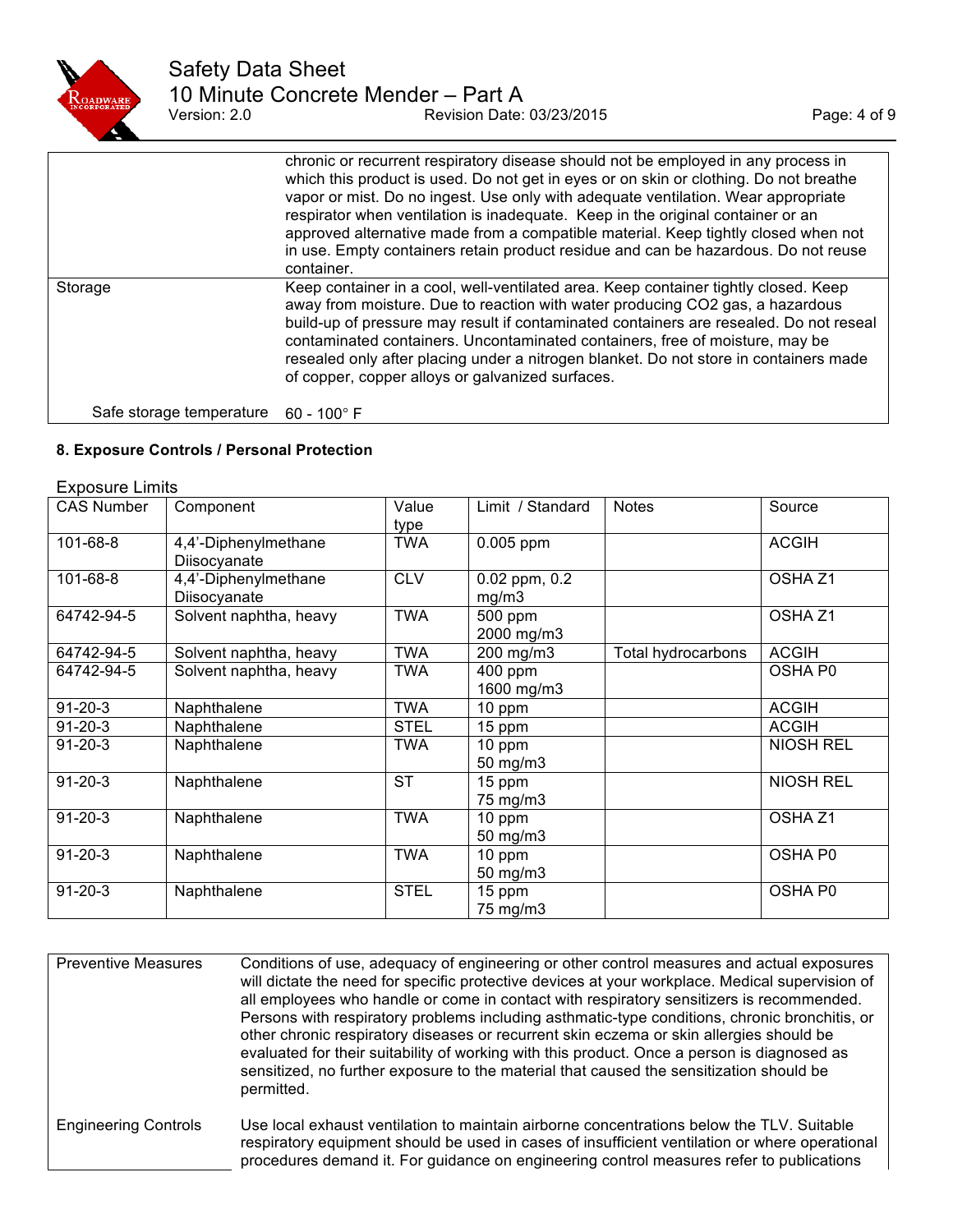

|                                               | chronic or recurrent respiratory disease should not be employed in any process in<br>which this product is used. Do not get in eyes or on skin or clothing. Do not breathe<br>vapor or mist. Do no ingest. Use only with adequate ventilation. Wear appropriate<br>respirator when ventilation is inadequate. Keep in the original container or an<br>approved alternative made from a compatible material. Keep tightly closed when not<br>in use. Empty containers retain product residue and can be hazardous. Do not reuse<br>container. |
|-----------------------------------------------|----------------------------------------------------------------------------------------------------------------------------------------------------------------------------------------------------------------------------------------------------------------------------------------------------------------------------------------------------------------------------------------------------------------------------------------------------------------------------------------------------------------------------------------------|
| Storage                                       | Keep container in a cool, well-ventilated area. Keep container tightly closed. Keep<br>away from moisture. Due to reaction with water producing CO2 gas, a hazardous<br>build-up of pressure may result if contaminated containers are resealed. Do not reseal<br>contaminated containers. Uncontaminated containers, free of moisture, may be<br>resealed only after placing under a nitrogen blanket. Do not store in containers made<br>of copper, copper alloys or galvanized surfaces.                                                  |
| Safe storage temperature $60 - 100^{\circ}$ F |                                                                                                                                                                                                                                                                                                                                                                                                                                                                                                                                              |

## **8. Exposure Controls / Personal Protection**

## Exposure Limits

| <b>CAS Number</b> | Component                            | Value<br>type | Limit / Standard           | <b>Notes</b>       | Source             |
|-------------------|--------------------------------------|---------------|----------------------------|--------------------|--------------------|
| 101-68-8          | 4,4'-Diphenylmethane<br>Diisocyanate | <b>TWA</b>    | $0.005$ ppm                |                    | <b>ACGIH</b>       |
| 101-68-8          | 4,4'-Diphenylmethane<br>Diisocyanate | <b>CLV</b>    | $0.02$ ppm, $0.2$<br>mg/m3 |                    | OSHA <sub>Z1</sub> |
| 64742-94-5        | Solvent naphtha, heavy               | <b>TWA</b>    | 500 ppm<br>2000 mg/m3      |                    | OSHA <sub>Z1</sub> |
| 64742-94-5        | Solvent naphtha, heavy               | <b>TWA</b>    | 200 mg/m3                  | Total hydrocarbons | <b>ACGIH</b>       |
| 64742-94-5        | Solvent naphtha, heavy               | <b>TWA</b>    | 400 ppm<br>1600 mg/m3      |                    | OSHA P0            |
| $91 - 20 - 3$     | Naphthalene                          | <b>TWA</b>    | 10 ppm                     |                    | <b>ACGIH</b>       |
| $91 - 20 - 3$     | Naphthalene                          | <b>STEL</b>   | 15 ppm                     |                    | <b>ACGIH</b>       |
| $91 - 20 - 3$     | Naphthalene                          | TWA           | 10 ppm<br>50 mg/m3         |                    | <b>NIOSH REL</b>   |
| $91 - 20 - 3$     | Naphthalene                          | <b>ST</b>     | 15 ppm<br>75 mg/m3         |                    | <b>NIOSH REL</b>   |
| $91 - 20 - 3$     | Naphthalene                          | <b>TWA</b>    | 10 ppm<br>50 mg/m3         |                    | OSHA <sub>Z1</sub> |
| $91 - 20 - 3$     | Naphthalene                          | <b>TWA</b>    | 10 ppm<br>50 mg/m3         |                    | OSHA P0            |
| $91 - 20 - 3$     | Naphthalene                          | <b>STEL</b>   | 15 ppm<br>75 mg/m3         |                    | OSHA P0            |

| <b>Preventive Measures</b>  | Conditions of use, adequacy of engineering or other control measures and actual exposures<br>will dictate the need for specific protective devices at your workplace. Medical supervision of<br>all employees who handle or come in contact with respiratory sensitizers is recommended.<br>Persons with respiratory problems including asthmatic-type conditions, chronic bronchitis, or<br>other chronic respiratory diseases or recurrent skin eczema or skin allergies should be<br>evaluated for their suitability of working with this product. Once a person is diagnosed as<br>sensitized, no further exposure to the material that caused the sensitization should be<br>permitted. |
|-----------------------------|----------------------------------------------------------------------------------------------------------------------------------------------------------------------------------------------------------------------------------------------------------------------------------------------------------------------------------------------------------------------------------------------------------------------------------------------------------------------------------------------------------------------------------------------------------------------------------------------------------------------------------------------------------------------------------------------|
| <b>Engineering Controls</b> | Use local exhaust ventilation to maintain airborne concentrations below the TLV. Suitable<br>respiratory equipment should be used in cases of insufficient ventilation or where operational<br>procedures demand it. For guidance on engineering control measures refer to publications                                                                                                                                                                                                                                                                                                                                                                                                      |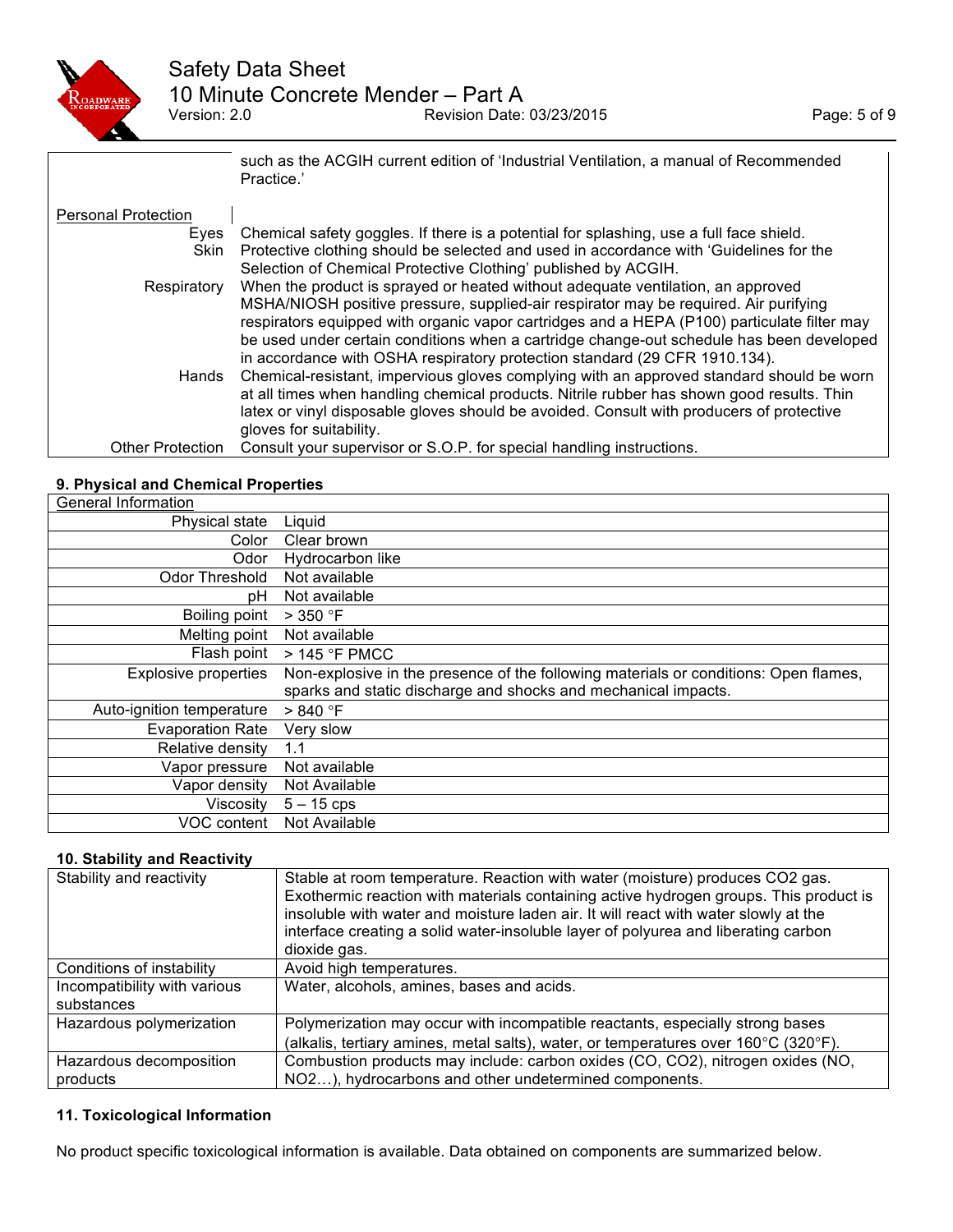

|                            | such as the ACGIH current edition of 'Industrial Ventilation, a manual of Recommended<br>Practice.' |
|----------------------------|-----------------------------------------------------------------------------------------------------|
| <b>Personal Protection</b> |                                                                                                     |
| Eyes                       | Chemical safety goggles. If there is a potential for splashing, use a full face shield.             |
| <b>Skin</b>                | Protective clothing should be selected and used in accordance with 'Guidelines for the              |
|                            | Selection of Chemical Protective Clothing' published by ACGIH.                                      |
| Respiratory                | When the product is sprayed or heated without adequate ventilation, an approved                     |
|                            | MSHA/NIOSH positive pressure, supplied-air respirator may be required. Air purifying                |
|                            | respirators equipped with organic vapor cartridges and a HEPA (P100) particulate filter may         |
|                            | be used under certain conditions when a cartridge change-out schedule has been developed            |
|                            | in accordance with OSHA respiratory protection standard (29 CFR 1910.134).                          |
| Hands                      | Chemical-resistant, impervious gloves complying with an approved standard should be worn            |
|                            | at all times when handling chemical products. Nitrile rubber has shown good results. Thin           |
|                            | latex or vinyl disposable gloves should be avoided. Consult with producers of protective            |
|                            | gloves for suitability.                                                                             |
| <b>Other Protection</b>    | Consult your supervisor or S.O.P. for special handling instructions.                                |

## **9. Physical and Chemical Properties**

| General Information         |                                                                                      |
|-----------------------------|--------------------------------------------------------------------------------------|
| Physical state              | Liquid                                                                               |
| Color                       | Clear brown                                                                          |
| Odor                        | Hydrocarbon like                                                                     |
| Odor Threshold              | Not available                                                                        |
| рH                          | Not available                                                                        |
| Boiling point               | $>$ 350 $\degree$ F                                                                  |
| Melting point               | Not available                                                                        |
| Flash point                 | > 145 °F PMCC                                                                        |
| <b>Explosive properties</b> | Non-explosive in the presence of the following materials or conditions: Open flames, |
|                             | sparks and static discharge and shocks and mechanical impacts.                       |
| Auto-ignition temperature   | > 840 °F                                                                             |
| <b>Evaporation Rate</b>     | Very slow                                                                            |
| Relative density            | 1.1                                                                                  |
| Vapor pressure              | Not available                                                                        |
| Vapor density               | Not Available                                                                        |
| Viscosity                   | $5 - 15$ cps                                                                         |
| VOC content                 | Not Available                                                                        |

#### **10. Stability and Reactivity**

| Stability and reactivity                   | Stable at room temperature. Reaction with water (moisture) produces CO2 gas.<br>Exothermic reaction with materials containing active hydrogen groups. This product is<br>insoluble with water and moisture laden air. It will react with water slowly at the<br>interface creating a solid water-insoluble layer of polyurea and liberating carbon<br>dioxide gas. |
|--------------------------------------------|--------------------------------------------------------------------------------------------------------------------------------------------------------------------------------------------------------------------------------------------------------------------------------------------------------------------------------------------------------------------|
| Conditions of instability                  | Avoid high temperatures.                                                                                                                                                                                                                                                                                                                                           |
| Incompatibility with various<br>substances | Water, alcohols, amines, bases and acids.                                                                                                                                                                                                                                                                                                                          |
| Hazardous polymerization                   | Polymerization may occur with incompatible reactants, especially strong bases                                                                                                                                                                                                                                                                                      |
|                                            | (alkalis, tertiary amines, metal salts), water, or temperatures over 160°C (320°F).                                                                                                                                                                                                                                                                                |
| Hazardous decomposition                    | Combustion products may include: carbon oxides (CO, CO2), nitrogen oxides (NO,                                                                                                                                                                                                                                                                                     |
| products                                   | NO2), hydrocarbons and other undetermined components.                                                                                                                                                                                                                                                                                                              |

## **11. Toxicological Information**

No product specific toxicological information is available. Data obtained on components are summarized below.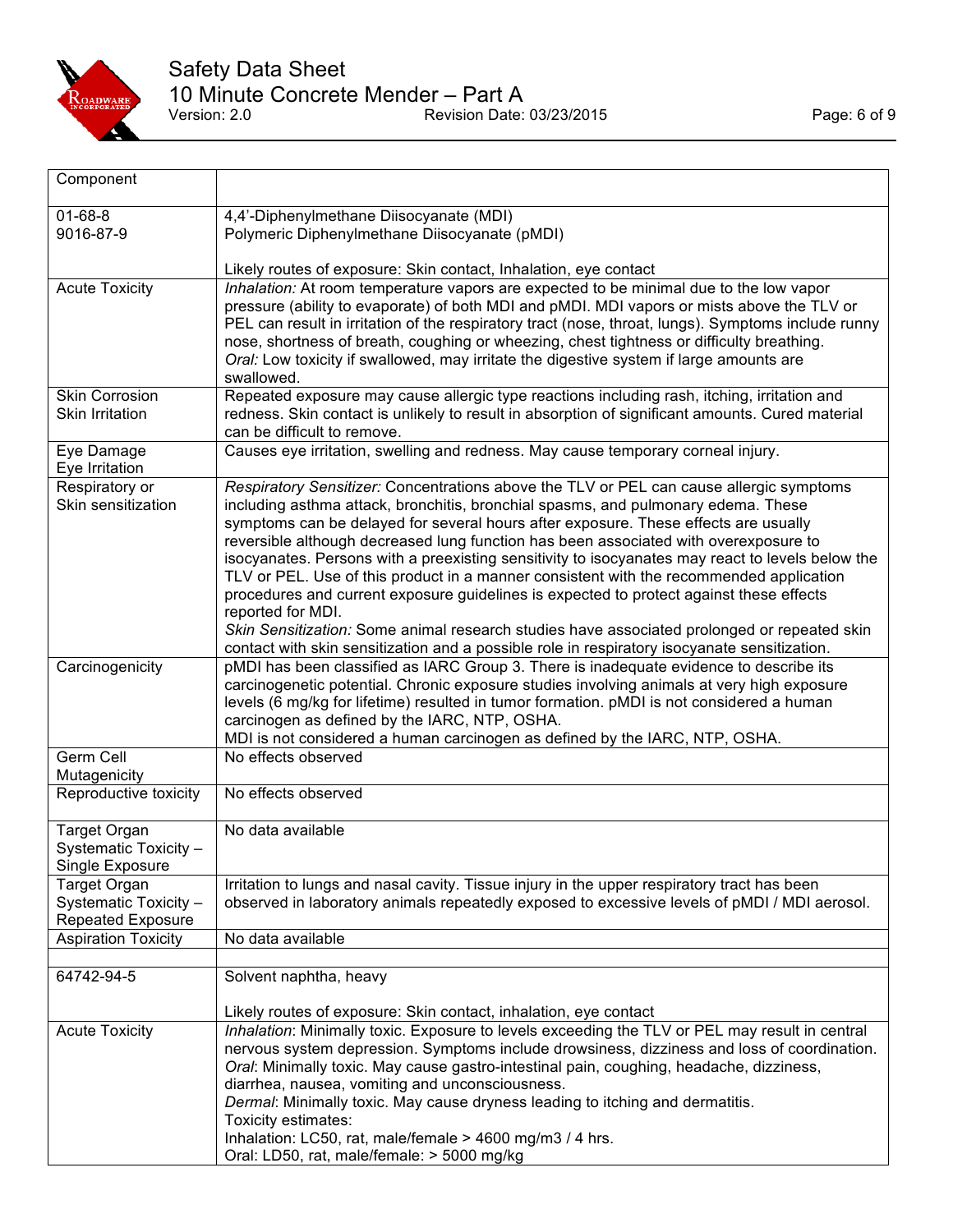

| Component                                                                |                                                                                                                                                                                                                                                                                                                                                                                                                                                                                                                                                                                                                                                                                                                                                                                                                                                                           |
|--------------------------------------------------------------------------|---------------------------------------------------------------------------------------------------------------------------------------------------------------------------------------------------------------------------------------------------------------------------------------------------------------------------------------------------------------------------------------------------------------------------------------------------------------------------------------------------------------------------------------------------------------------------------------------------------------------------------------------------------------------------------------------------------------------------------------------------------------------------------------------------------------------------------------------------------------------------|
| $01 - 68 - 8$<br>9016-87-9                                               | 4,4'-Diphenylmethane Diisocyanate (MDI)<br>Polymeric Diphenylmethane Diisocyanate (pMDI)                                                                                                                                                                                                                                                                                                                                                                                                                                                                                                                                                                                                                                                                                                                                                                                  |
|                                                                          | Likely routes of exposure: Skin contact, Inhalation, eye contact                                                                                                                                                                                                                                                                                                                                                                                                                                                                                                                                                                                                                                                                                                                                                                                                          |
| <b>Acute Toxicity</b>                                                    | Inhalation: At room temperature vapors are expected to be minimal due to the low vapor<br>pressure (ability to evaporate) of both MDI and pMDI. MDI vapors or mists above the TLV or<br>PEL can result in irritation of the respiratory tract (nose, throat, lungs). Symptoms include runny<br>nose, shortness of breath, coughing or wheezing, chest tightness or difficulty breathing.<br>Oral: Low toxicity if swallowed, may irritate the digestive system if large amounts are<br>swallowed.                                                                                                                                                                                                                                                                                                                                                                         |
| <b>Skin Corrosion</b><br><b>Skin Irritation</b>                          | Repeated exposure may cause allergic type reactions including rash, itching, irritation and<br>redness. Skin contact is unlikely to result in absorption of significant amounts. Cured material<br>can be difficult to remove.                                                                                                                                                                                                                                                                                                                                                                                                                                                                                                                                                                                                                                            |
| Eye Damage<br>Eye Irritation                                             | Causes eye irritation, swelling and redness. May cause temporary corneal injury.                                                                                                                                                                                                                                                                                                                                                                                                                                                                                                                                                                                                                                                                                                                                                                                          |
| Respiratory or<br>Skin sensitization                                     | Respiratory Sensitizer: Concentrations above the TLV or PEL can cause allergic symptoms<br>including asthma attack, bronchitis, bronchial spasms, and pulmonary edema. These<br>symptoms can be delayed for several hours after exposure. These effects are usually<br>reversible although decreased lung function has been associated with overexposure to<br>isocyanates. Persons with a preexisting sensitivity to isocyanates may react to levels below the<br>TLV or PEL. Use of this product in a manner consistent with the recommended application<br>procedures and current exposure guidelines is expected to protect against these effects<br>reported for MDI.<br>Skin Sensitization: Some animal research studies have associated prolonged or repeated skin<br>contact with skin sensitization and a possible role in respiratory isocyanate sensitization. |
| Carcinogenicity                                                          | pMDI has been classified as IARC Group 3. There is inadequate evidence to describe its<br>carcinogenetic potential. Chronic exposure studies involving animals at very high exposure<br>levels (6 mg/kg for lifetime) resulted in tumor formation. pMDI is not considered a human<br>carcinogen as defined by the IARC, NTP, OSHA.<br>MDI is not considered a human carcinogen as defined by the IARC, NTP, OSHA.                                                                                                                                                                                                                                                                                                                                                                                                                                                         |
| Germ Cell<br>Mutagenicity                                                | No effects observed                                                                                                                                                                                                                                                                                                                                                                                                                                                                                                                                                                                                                                                                                                                                                                                                                                                       |
| Reproductive toxicity                                                    | No effects observed                                                                                                                                                                                                                                                                                                                                                                                                                                                                                                                                                                                                                                                                                                                                                                                                                                                       |
| <b>Target Organ</b><br>Systematic Toxicity -<br>Single Exposure          | No data available                                                                                                                                                                                                                                                                                                                                                                                                                                                                                                                                                                                                                                                                                                                                                                                                                                                         |
| <b>Target Organ</b><br>Systematic Toxicity -<br><b>Repeated Exposure</b> | Irritation to lungs and nasal cavity. Tissue injury in the upper respiratory tract has been<br>observed in laboratory animals repeatedly exposed to excessive levels of pMDI / MDI aerosol.                                                                                                                                                                                                                                                                                                                                                                                                                                                                                                                                                                                                                                                                               |
| <b>Aspiration Toxicity</b>                                               | No data available                                                                                                                                                                                                                                                                                                                                                                                                                                                                                                                                                                                                                                                                                                                                                                                                                                                         |
| 64742-94-5                                                               | Solvent naphtha, heavy                                                                                                                                                                                                                                                                                                                                                                                                                                                                                                                                                                                                                                                                                                                                                                                                                                                    |
| <b>Acute Toxicity</b>                                                    | Likely routes of exposure: Skin contact, inhalation, eye contact<br>Inhalation: Minimally toxic. Exposure to levels exceeding the TLV or PEL may result in central<br>nervous system depression. Symptoms include drowsiness, dizziness and loss of coordination.<br>Oral: Minimally toxic. May cause gastro-intestinal pain, coughing, headache, dizziness,<br>diarrhea, nausea, vomiting and unconsciousness.<br>Dermal: Minimally toxic. May cause dryness leading to itching and dermatitis.<br>Toxicity estimates:<br>Inhalation: LC50, rat, male/female > 4600 mg/m3 / 4 hrs.<br>Oral: LD50, rat, male/female: > 5000 mg/kg                                                                                                                                                                                                                                         |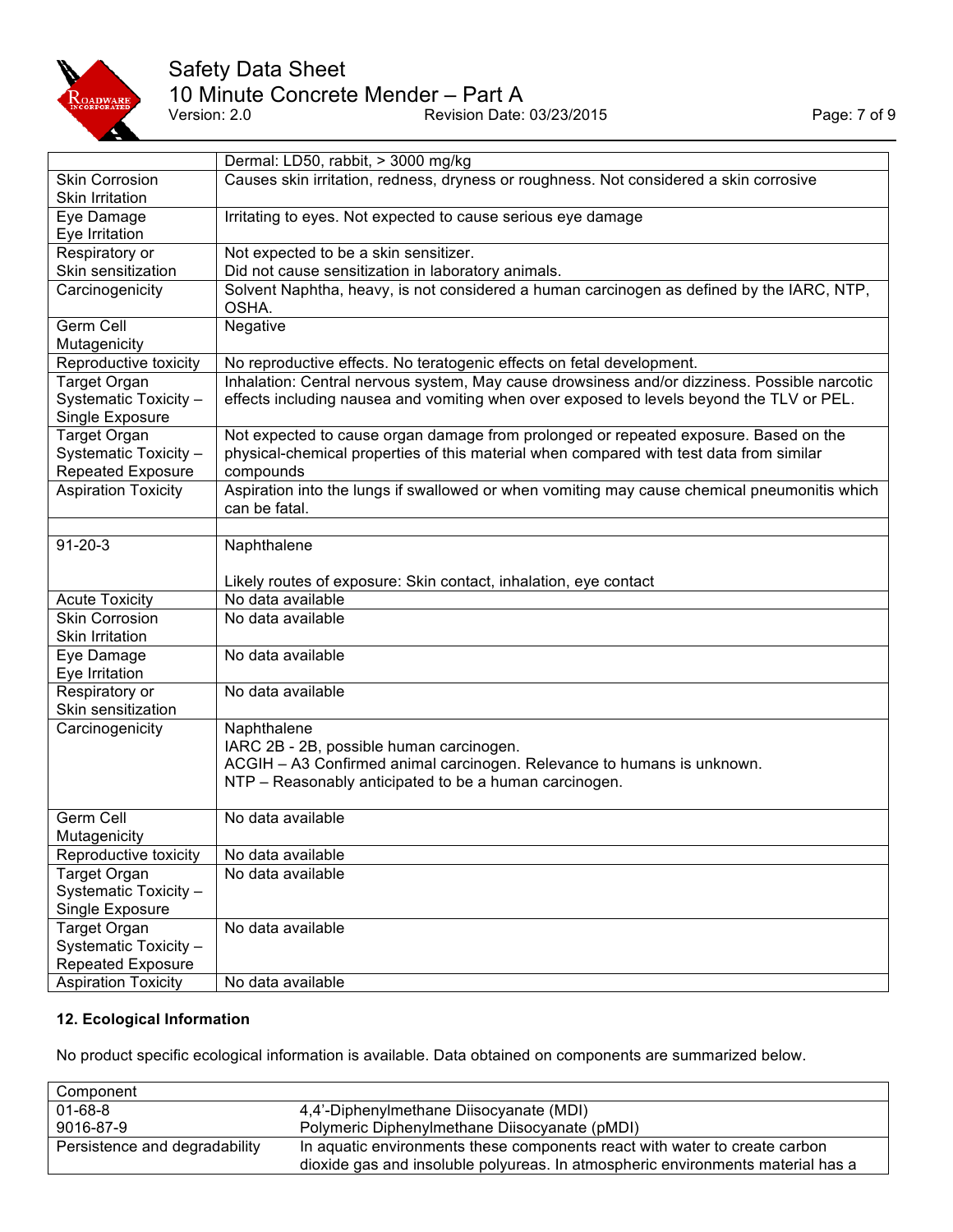

# Safety Data Sheet

10 Minute Concrete Mender – Part A<br>Version: 2.0 Revision Date:

Provision Date: 03/23/2015

|                                          | Dermal: LD50, rabbit, > 3000 mg/kg                                                                 |
|------------------------------------------|----------------------------------------------------------------------------------------------------|
| <b>Skin Corrosion</b>                    | Causes skin irritation, redness, dryness or roughness. Not considered a skin corrosive             |
| <b>Skin Irritation</b>                   |                                                                                                    |
| Eye Damage                               | Irritating to eyes. Not expected to cause serious eye damage                                       |
| Eye Irritation                           |                                                                                                    |
| Respiratory or                           | Not expected to be a skin sensitizer.                                                              |
| Skin sensitization                       | Did not cause sensitization in laboratory animals.                                                 |
| Carcinogenicity                          | Solvent Naphtha, heavy, is not considered a human carcinogen as defined by the IARC, NTP,<br>OSHA. |
| Germ Cell                                | Negative                                                                                           |
| Mutagenicity                             |                                                                                                    |
| Reproductive toxicity                    | No reproductive effects. No teratogenic effects on fetal development.                              |
| <b>Target Organ</b>                      | Inhalation: Central nervous system, May cause drowsiness and/or dizziness. Possible narcotic       |
| Systematic Toxicity -<br>Single Exposure | effects including nausea and vomiting when over exposed to levels beyond the TLV or PEL.           |
| <b>Target Organ</b>                      | Not expected to cause organ damage from prolonged or repeated exposure. Based on the               |
| Systematic Toxicity -                    | physical-chemical properties of this material when compared with test data from similar            |
| <b>Repeated Exposure</b>                 | compounds                                                                                          |
| <b>Aspiration Toxicity</b>               | Aspiration into the lungs if swallowed or when vomiting may cause chemical pneumonitis which       |
|                                          | can be fatal.                                                                                      |
|                                          |                                                                                                    |
| $91 - 20 - 3$                            | Naphthalene                                                                                        |
|                                          |                                                                                                    |
|                                          | Likely routes of exposure: Skin contact, inhalation, eye contact                                   |
| <b>Acute Toxicity</b>                    | No data available                                                                                  |
| <b>Skin Corrosion</b>                    | No data available                                                                                  |
| Skin Irritation                          |                                                                                                    |
| Eye Damage                               | No data available                                                                                  |
| Eye Irritation                           |                                                                                                    |
| Respiratory or                           | No data available                                                                                  |
| Skin sensitization                       |                                                                                                    |
| Carcinogenicity                          | Naphthalene                                                                                        |
|                                          | IARC 2B - 2B, possible human carcinogen.                                                           |
|                                          | ACGIH - A3 Confirmed animal carcinogen. Relevance to humans is unknown.                            |
|                                          | NTP - Reasonably anticipated to be a human carcinogen.                                             |
|                                          |                                                                                                    |
| Germ Cell                                | No data available                                                                                  |
| Mutagenicity                             |                                                                                                    |
| Reproductive toxicity                    | No data available                                                                                  |
| <b>Target Organ</b>                      | No data available                                                                                  |
| Systematic Toxicity -                    |                                                                                                    |
| Single Exposure                          |                                                                                                    |
| <b>Target Organ</b>                      | No data available                                                                                  |
| Systematic Toxicity -                    |                                                                                                    |
| <b>Repeated Exposure</b>                 |                                                                                                    |
| <b>Aspiration Toxicity</b>               | No data available                                                                                  |

## **12. Ecological Information**

No product specific ecological information is available. Data obtained on components are summarized below.

| Component                     |                                                                                 |
|-------------------------------|---------------------------------------------------------------------------------|
| $01 - 68 - 8$                 | 4,4'-Diphenylmethane Diisocyanate (MDI)                                         |
| 9016-87-9                     | Polymeric Diphenylmethane Diisocyanate (pMDI)                                   |
| Persistence and degradability | In aquatic environments these components react with water to create carbon      |
|                               | dioxide gas and insoluble polyureas. In atmospheric environments material has a |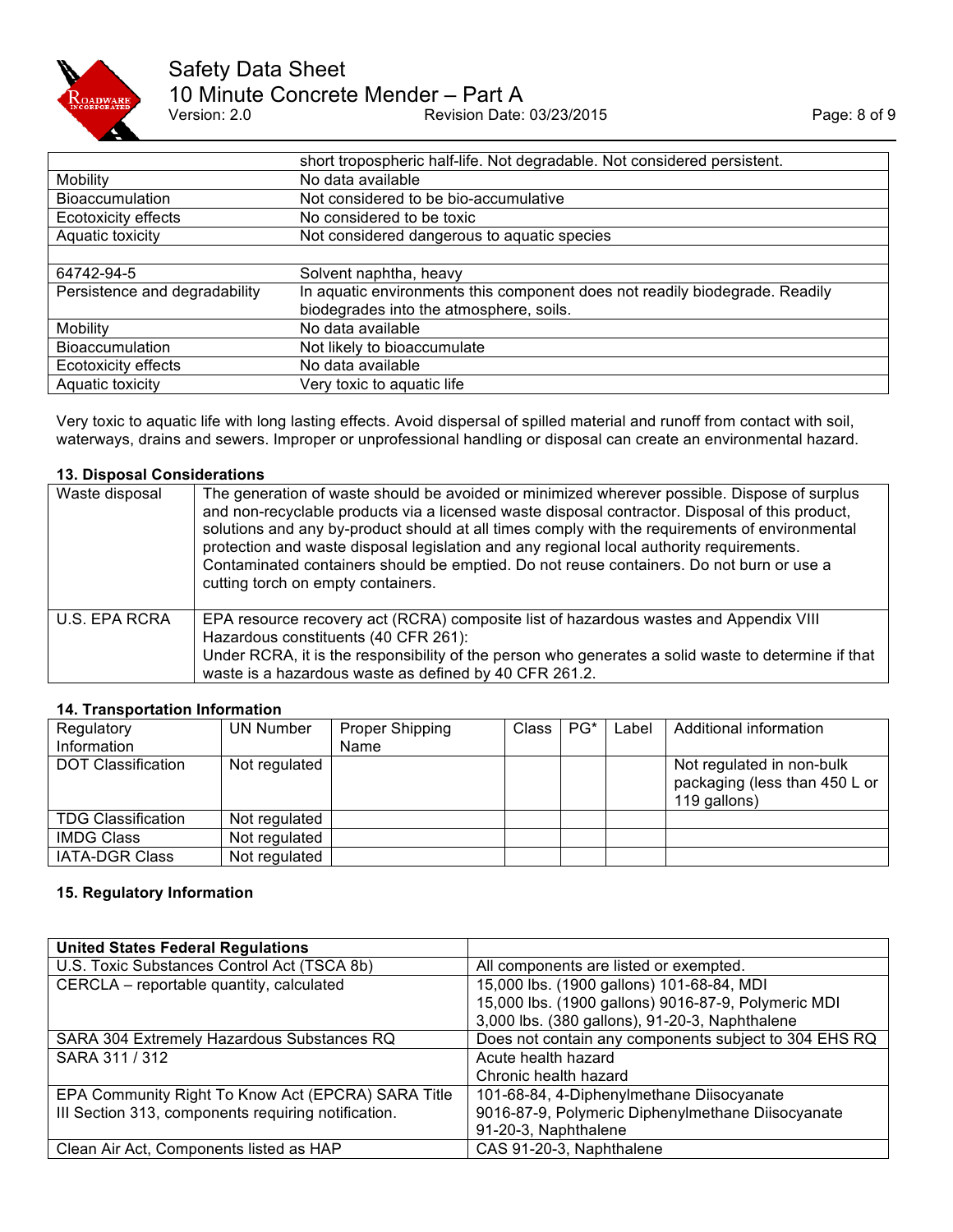

# Safety Data Sheet 10 Minute Concrete Mender – Part A<br>Version: 2.0 Revision Date:

Revision Date: 03/23/2015 Page: 8 of 9

|                               | short tropospheric half-life. Not degradable. Not considered persistent.                                               |
|-------------------------------|------------------------------------------------------------------------------------------------------------------------|
| Mobility                      | No data available                                                                                                      |
| <b>Bioaccumulation</b>        | Not considered to be bio-accumulative                                                                                  |
| Ecotoxicity effects           | No considered to be toxic                                                                                              |
| Aquatic toxicity              | Not considered dangerous to aquatic species                                                                            |
|                               |                                                                                                                        |
| 64742-94-5                    | Solvent naphtha, heavy                                                                                                 |
| Persistence and degradability | In aquatic environments this component does not readily biodegrade. Readily<br>biodegrades into the atmosphere, soils. |
| Mobility                      | No data available                                                                                                      |
| <b>Bioaccumulation</b>        | Not likely to bioaccumulate                                                                                            |
| Ecotoxicity effects           | No data available                                                                                                      |
| Aquatic toxicity              | Very toxic to aquatic life                                                                                             |

Very toxic to aquatic life with long lasting effects. Avoid dispersal of spilled material and runoff from contact with soil, waterways, drains and sewers. Improper or unprofessional handling or disposal can create an environmental hazard.

#### **13. Disposal Considerations**

| Waste disposal | The generation of waste should be avoided or minimized wherever possible. Dispose of surplus<br>and non-recyclable products via a licensed waste disposal contractor. Disposal of this product,<br>solutions and any by-product should at all times comply with the requirements of environmental<br>protection and waste disposal legislation and any regional local authority requirements.<br>Contaminated containers should be emptied. Do not reuse containers. Do not burn or use a<br>cutting torch on empty containers. |
|----------------|---------------------------------------------------------------------------------------------------------------------------------------------------------------------------------------------------------------------------------------------------------------------------------------------------------------------------------------------------------------------------------------------------------------------------------------------------------------------------------------------------------------------------------|
| U.S. EPA RCRA  | EPA resource recovery act (RCRA) composite list of hazardous wastes and Appendix VIII<br>Hazardous constituents (40 CFR 261):<br>Under RCRA, it is the responsibility of the person who generates a solid waste to determine if that<br>waste is a hazardous waste as defined by 40 CFR 261.2.                                                                                                                                                                                                                                  |

#### **14. Transportation Information**

| Regulatory<br>Information | UN Number     | <b>Proper Shipping</b><br>Name | Class | $PG^*$ | Label | Additional information                                                     |
|---------------------------|---------------|--------------------------------|-------|--------|-------|----------------------------------------------------------------------------|
| <b>DOT Classification</b> | Not regulated |                                |       |        |       | Not regulated in non-bulk<br>packaging (less than 450 L or<br>119 gallons) |
| <b>TDG Classification</b> | Not regulated |                                |       |        |       |                                                                            |
| <b>IMDG Class</b>         | Not regulated |                                |       |        |       |                                                                            |
| <b>IATA-DGR Class</b>     | Not regulated |                                |       |        |       |                                                                            |

## **15. Regulatory Information**

| <b>United States Federal Regulations</b>            |                                                       |
|-----------------------------------------------------|-------------------------------------------------------|
| U.S. Toxic Substances Control Act (TSCA 8b)         | All components are listed or exempted.                |
| CERCLA - reportable quantity, calculated            | 15,000 lbs. (1900 gallons) 101-68-84, MDI             |
|                                                     | 15,000 lbs. (1900 gallons) 9016-87-9, Polymeric MDI   |
|                                                     | 3,000 lbs. (380 gallons), 91-20-3, Naphthalene        |
| SARA 304 Extremely Hazardous Substances RQ          | Does not contain any components subject to 304 EHS RQ |
| SARA 311 / 312                                      | Acute health hazard                                   |
|                                                     | Chronic health hazard                                 |
| EPA Community Right To Know Act (EPCRA) SARA Title  | 101-68-84, 4-Diphenylmethane Diisocyanate             |
| III Section 313, components requiring notification. | 9016-87-9, Polymeric Diphenylmethane Diisocyanate     |
|                                                     | 91-20-3, Naphthalene                                  |
| Clean Air Act, Components listed as HAP             | CAS 91-20-3, Naphthalene                              |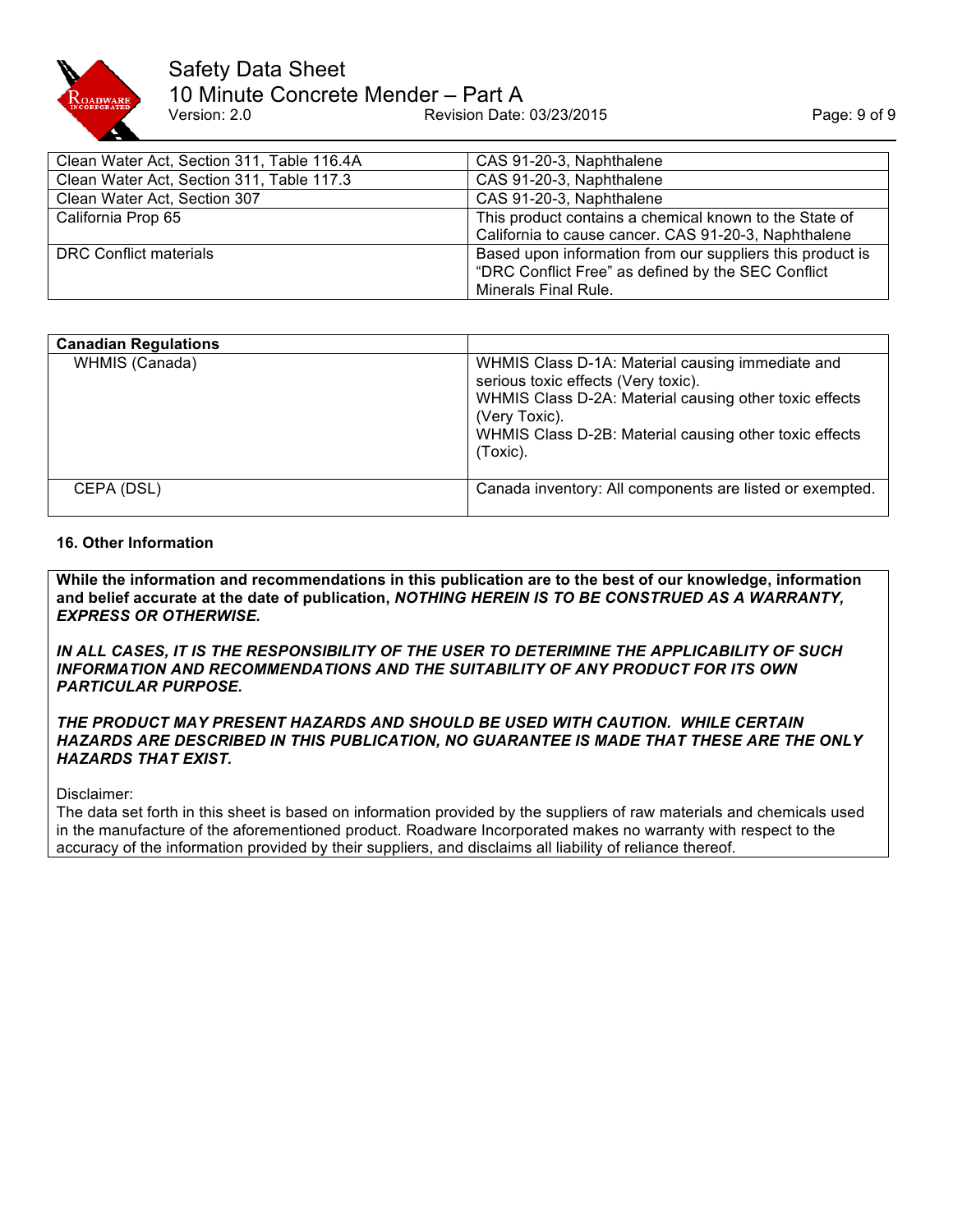

# Safety Data Sheet 10 Minute Concrete Mender – Part A<br>Version: 2.0 Revision Date: Revision Date: 03/23/2015 Page: 9 of 9

| Clean Water Act, Section 311, Table 116.4A | CAS 91-20-3, Naphthalene                                                                                                                |
|--------------------------------------------|-----------------------------------------------------------------------------------------------------------------------------------------|
| Clean Water Act, Section 311, Table 117.3  | CAS 91-20-3, Naphthalene                                                                                                                |
| Clean Water Act, Section 307               | CAS 91-20-3, Naphthalene                                                                                                                |
| California Prop 65                         | This product contains a chemical known to the State of<br>California to cause cancer. CAS 91-20-3, Naphthalene                          |
| DRC Conflict materials                     | Based upon information from our suppliers this product is<br>"DRC Conflict Free" as defined by the SEC Conflict<br>Minerals Final Rule. |

| <b>Canadian Regulations</b> |                                                                                                                                                                                                                                          |
|-----------------------------|------------------------------------------------------------------------------------------------------------------------------------------------------------------------------------------------------------------------------------------|
| WHMIS (Canada)              | WHMIS Class D-1A: Material causing immediate and<br>serious toxic effects (Very toxic).<br>WHMIS Class D-2A: Material causing other toxic effects<br>(Very Toxic).<br>WHMIS Class D-2B: Material causing other toxic effects<br>(Toxic). |
| CEPA (DSL)                  | Canada inventory: All components are listed or exempted.                                                                                                                                                                                 |

#### **16. Other Information**

**While the information and recommendations in this publication are to the best of our knowledge, information and belief accurate at the date of publication,** *NOTHING HEREIN IS TO BE CONSTRUED AS A WARRANTY, EXPRESS OR OTHERWISE.*

*IN ALL CASES, IT IS THE RESPONSIBILITY OF THE USER TO DETERIMINE THE APPLICABILITY OF SUCH INFORMATION AND RECOMMENDATIONS AND THE SUITABILITY OF ANY PRODUCT FOR ITS OWN PARTICULAR PURPOSE.* 

*THE PRODUCT MAY PRESENT HAZARDS AND SHOULD BE USED WITH CAUTION. WHILE CERTAIN HAZARDS ARE DESCRIBED IN THIS PUBLICATION, NO GUARANTEE IS MADE THAT THESE ARE THE ONLY HAZARDS THAT EXIST.* 

Disclaimer:

The data set forth in this sheet is based on information provided by the suppliers of raw materials and chemicals used in the manufacture of the aforementioned product. Roadware Incorporated makes no warranty with respect to the accuracy of the information provided by their suppliers, and disclaims all liability of reliance thereof.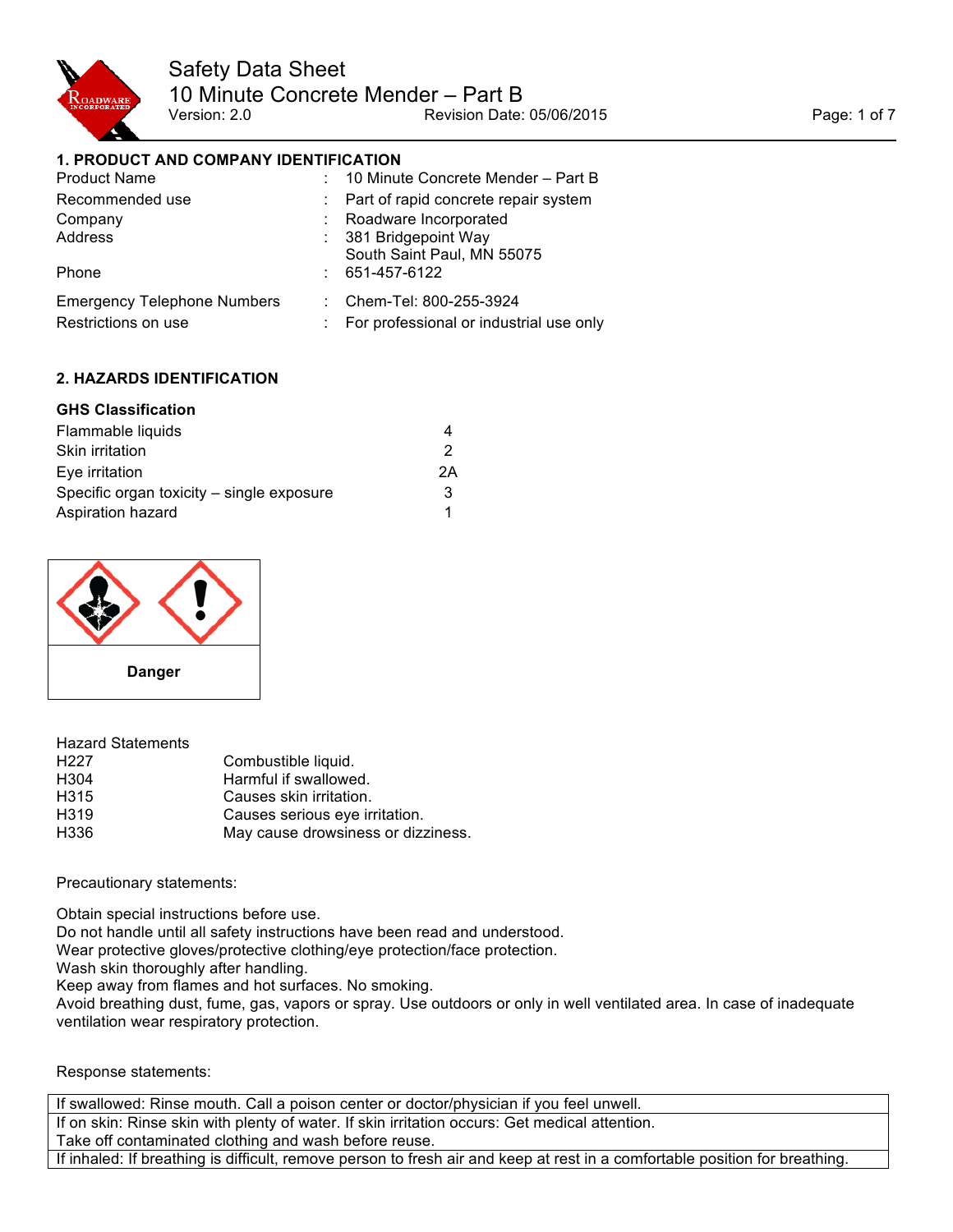

## **1. PRODUCT AND COMPANY IDENTIFICATION**

| <b>Product Name</b>                |    | : 10 Minute Concrete Mender - Part B    |
|------------------------------------|----|-----------------------------------------|
| Recommended use                    |    | : Part of rapid concrete repair system  |
| Company                            |    | Roadware Incorporated                   |
| Address                            |    | : 381 Bridgepoint Way                   |
|                                    |    | South Saint Paul, MN 55075              |
| Phone                              |    | $: 651-457-6122$                        |
| <b>Emergency Telephone Numbers</b> |    | $\therefore$ Chem-Tel: 800-255-3924     |
| Restrictions on use                | ÷. | For professional or industrial use only |

## **2. HAZARDS IDENTIFICATION**

## **GHS Classification**

| Flammable liquids                         |    |
|-------------------------------------------|----|
| <b>Skin irritation</b>                    | 2  |
| Eve irritation                            | 2Α |
| Specific organ toxicity – single exposure | 3  |
| Aspiration hazard                         | 1  |



| <b>Hazard Statements</b> |                                    |
|--------------------------|------------------------------------|
| H <sub>227</sub>         | Combustible liquid.                |
| H <sub>304</sub>         | Harmful if swallowed.              |
| H315                     | Causes skin irritation.            |
| H319                     | Causes serious eye irritation.     |
| H336                     | May cause drowsiness or dizziness. |

Precautionary statements:

Obtain special instructions before use. Do not handle until all safety instructions have been read and understood. Wear protective gloves/protective clothing/eye protection/face protection. Wash skin thoroughly after handling. Keep away from flames and hot surfaces. No smoking. Avoid breathing dust, fume, gas, vapors or spray. Use outdoors or only in well ventilated area. In case of inadequate ventilation wear respiratory protection.

#### Response statements:

If swallowed: Rinse mouth. Call a poison center or doctor/physician if you feel unwell. If on skin: Rinse skin with plenty of water. If skin irritation occurs: Get medical attention. Take off contaminated clothing and wash before reuse. If inhaled: If breathing is difficult, remove person to fresh air and keep at rest in a comfortable position for breathing.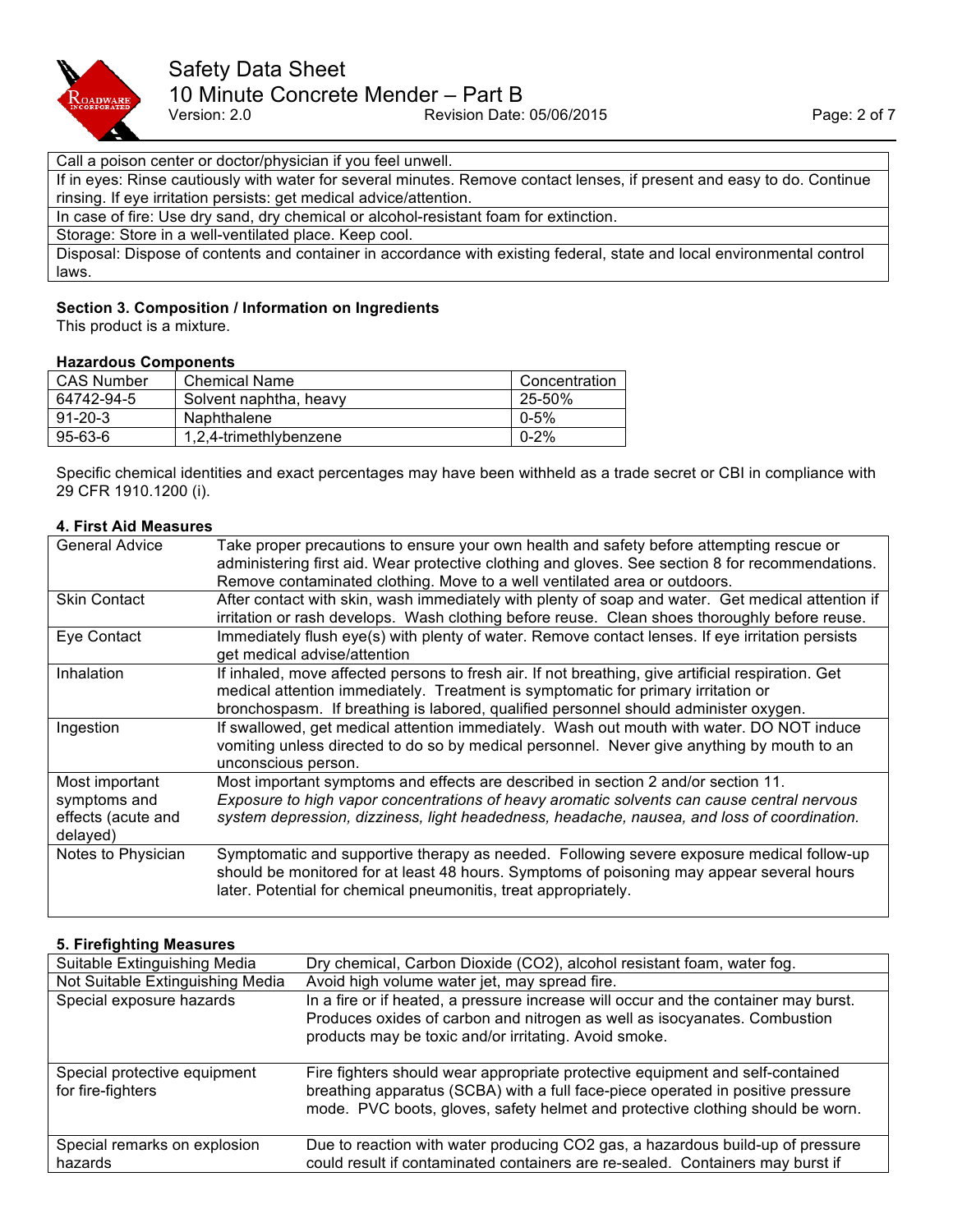

#### Call a poison center or doctor/physician if you feel unwell.

If in eyes: Rinse cautiously with water for several minutes. Remove contact lenses, if present and easy to do. Continue rinsing. If eye irritation persists: get medical advice/attention.

In case of fire: Use dry sand, dry chemical or alcohol-resistant foam for extinction.

Storage: Store in a well-ventilated place. Keep cool.

Disposal: Dispose of contents and container in accordance with existing federal, state and local environmental control laws.

## **Section 3. Composition / Information on Ingredients**

This product is a mixture.

## **Hazardous Components**

| <b>CAS Number</b> | <b>Chemical Name</b>   | Concentration |
|-------------------|------------------------|---------------|
| 64742-94-5        | Solvent naphtha, heavy | 25-50%        |
| $91 - 20 - 3$     | <b>Naphthalene</b>     | $0 - 5\%$     |
| $95 - 63 - 6$     | 1,2,4-trimethlybenzene | $0 - 2%$      |

Specific chemical identities and exact percentages may have been withheld as a trade secret or CBI in compliance with 29 CFR 1910.1200 (i).

#### **4. First Aid Measures**

| <b>General Advice</b> | Take proper precautions to ensure your own health and safety before attempting rescue or           |
|-----------------------|----------------------------------------------------------------------------------------------------|
|                       | administering first aid. Wear protective clothing and gloves. See section 8 for recommendations.   |
|                       | Remove contaminated clothing. Move to a well ventilated area or outdoors.                          |
| <b>Skin Contact</b>   | After contact with skin, wash immediately with plenty of soap and water. Get medical attention if  |
|                       | irritation or rash develops. Wash clothing before reuse. Clean shoes thoroughly before reuse.      |
| Eye Contact           | Immediately flush eye(s) with plenty of water. Remove contact lenses. If eye irritation persists   |
|                       | get medical advise/attention                                                                       |
| Inhalation            | If inhaled, move affected persons to fresh air. If not breathing, give artificial respiration. Get |
|                       | medical attention immediately. Treatment is symptomatic for primary irritation or                  |
|                       | bronchospasm. If breathing is labored, qualified personnel should administer oxygen.               |
| Ingestion             | If swallowed, get medical attention immediately. Wash out mouth with water. DO NOT induce          |
|                       | vomiting unless directed to do so by medical personnel. Never give anything by mouth to an         |
|                       | unconscious person.                                                                                |
| Most important        | Most important symptoms and effects are described in section 2 and/or section 11.                  |
| symptoms and          | Exposure to high vapor concentrations of heavy aromatic solvents can cause central nervous         |
| effects (acute and    | system depression, dizziness, light headedness, headache, nausea, and loss of coordination.        |
| delayed)              |                                                                                                    |
| Notes to Physician    | Symptomatic and supportive therapy as needed. Following severe exposure medical follow-up          |
|                       | should be monitored for at least 48 hours. Symptoms of poisoning may appear several hours          |
|                       | later. Potential for chemical pneumonitis, treat appropriately.                                    |
|                       |                                                                                                    |

### **5. Firefighting Measures**

| Suitable Extinguishing Media                      | Dry chemical, Carbon Dioxide (CO2), alcohol resistant foam, water fog.                                                                                                                                                                             |
|---------------------------------------------------|----------------------------------------------------------------------------------------------------------------------------------------------------------------------------------------------------------------------------------------------------|
| Not Suitable Extinguishing Media                  | Avoid high volume water jet, may spread fire.                                                                                                                                                                                                      |
| Special exposure hazards                          | In a fire or if heated, a pressure increase will occur and the container may burst.<br>Produces oxides of carbon and nitrogen as well as isocyanates. Combustion<br>products may be toxic and/or irritating. Avoid smoke.                          |
| Special protective equipment<br>for fire-fighters | Fire fighters should wear appropriate protective equipment and self-contained<br>breathing apparatus (SCBA) with a full face-piece operated in positive pressure<br>mode. PVC boots, gloves, safety helmet and protective clothing should be worn. |
| Special remarks on explosion<br>hazards           | Due to reaction with water producing CO2 gas, a hazardous build-up of pressure<br>could result if contaminated containers are re-sealed. Containers may burst if                                                                                   |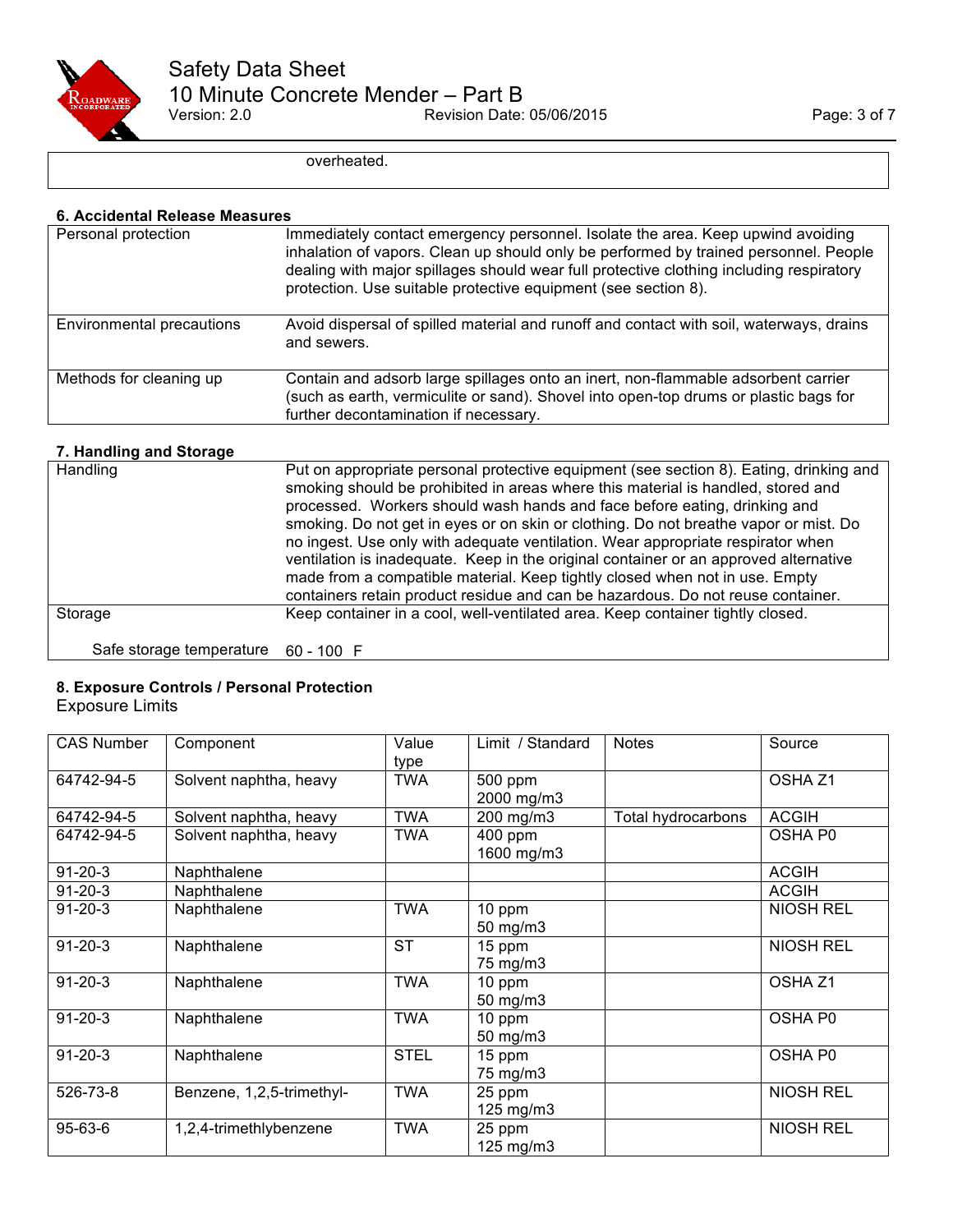

overheated.

#### **6. Accidental Release Measures**

| Personal protection              | Immediately contact emergency personnel. Isolate the area. Keep upwind avoiding<br>inhalation of vapors. Clean up should only be performed by trained personnel. People<br>dealing with major spillages should wear full protective clothing including respiratory<br>protection. Use suitable protective equipment (see section 8). |
|----------------------------------|--------------------------------------------------------------------------------------------------------------------------------------------------------------------------------------------------------------------------------------------------------------------------------------------------------------------------------------|
| <b>Environmental precautions</b> | Avoid dispersal of spilled material and runoff and contact with soil, waterways, drains<br>and sewers.                                                                                                                                                                                                                               |
| Methods for cleaning up          | Contain and adsorb large spillages onto an inert, non-flammable adsorbent carrier<br>(such as earth, vermiculite or sand). Shovel into open-top drums or plastic bags for<br>further decontamination if necessary.                                                                                                                   |

## **7. Handling and Storage**

| Handling                            | Put on appropriate personal protective equipment (see section 8). Eating, drinking and<br>smoking should be prohibited in areas where this material is handled, stored and<br>processed. Workers should wash hands and face before eating, drinking and<br>smoking. Do not get in eyes or on skin or clothing. Do not breathe vapor or mist. Do<br>no ingest. Use only with adequate ventilation. Wear appropriate respirator when<br>ventilation is inadequate. Keep in the original container or an approved alternative<br>made from a compatible material. Keep tightly closed when not in use. Empty<br>containers retain product residue and can be hazardous. Do not reuse container. |
|-------------------------------------|----------------------------------------------------------------------------------------------------------------------------------------------------------------------------------------------------------------------------------------------------------------------------------------------------------------------------------------------------------------------------------------------------------------------------------------------------------------------------------------------------------------------------------------------------------------------------------------------------------------------------------------------------------------------------------------------|
| Storage                             | Keep container in a cool, well-ventilated area. Keep container tightly closed.                                                                                                                                                                                                                                                                                                                                                                                                                                                                                                                                                                                                               |
| Safe storage temperature 60 - 100 F |                                                                                                                                                                                                                                                                                                                                                                                                                                                                                                                                                                                                                                                                                              |

## **8. Exposure Controls / Personal Protection**

Exposure Limits

| <b>CAS Number</b> | Component                 | Value<br>type | Limit / Standard              | <b>Notes</b>       | Source             |
|-------------------|---------------------------|---------------|-------------------------------|--------------------|--------------------|
| 64742-94-5        | Solvent naphtha, heavy    | <b>TWA</b>    | 500 ppm<br>2000 mg/m3         |                    | OSHA <sub>Z1</sub> |
| 64742-94-5        | Solvent naphtha, heavy    | TWA           | 200 mg/m3                     | Total hydrocarbons | <b>ACGIH</b>       |
| 64742-94-5        | Solvent naphtha, heavy    | <b>TWA</b>    | 400 ppm<br>1600 mg/m3         |                    | OSHA P0            |
| $91 - 20 - 3$     | Naphthalene               |               |                               |                    | <b>ACGIH</b>       |
| $91 - 20 - 3$     | Naphthalene               |               |                               |                    | <b>ACGIH</b>       |
| $91 - 20 - 3$     | Naphthalene               | <b>TWA</b>    | 10 ppm<br>$50 \text{ mg/m}$ 3 |                    | <b>NIOSH REL</b>   |
| $91 - 20 - 3$     | Naphthalene               | <b>ST</b>     | 15 ppm<br>75 mg/m3            |                    | <b>NIOSH REL</b>   |
| $91 - 20 - 3$     | Naphthalene               | <b>TWA</b>    | 10 ppm<br>50 mg/m3            |                    | OSHA Z1            |
| $91 - 20 - 3$     | Naphthalene               | <b>TWA</b>    | 10 ppm<br>50 mg/m3            |                    | OSHA P0            |
| $91 - 20 - 3$     | Naphthalene               | <b>STEL</b>   | 15 ppm<br>75 mg/m3            |                    | OSHA P0            |
| 526-73-8          | Benzene, 1,2,5-trimethyl- | <b>TWA</b>    | 25 ppm<br>125 mg/m3           |                    | <b>NIOSH REL</b>   |
| $95 - 63 - 6$     | 1,2,4-trimethlybenzene    | <b>TWA</b>    | 25 ppm<br>125 mg/m3           |                    | <b>NIOSH REL</b>   |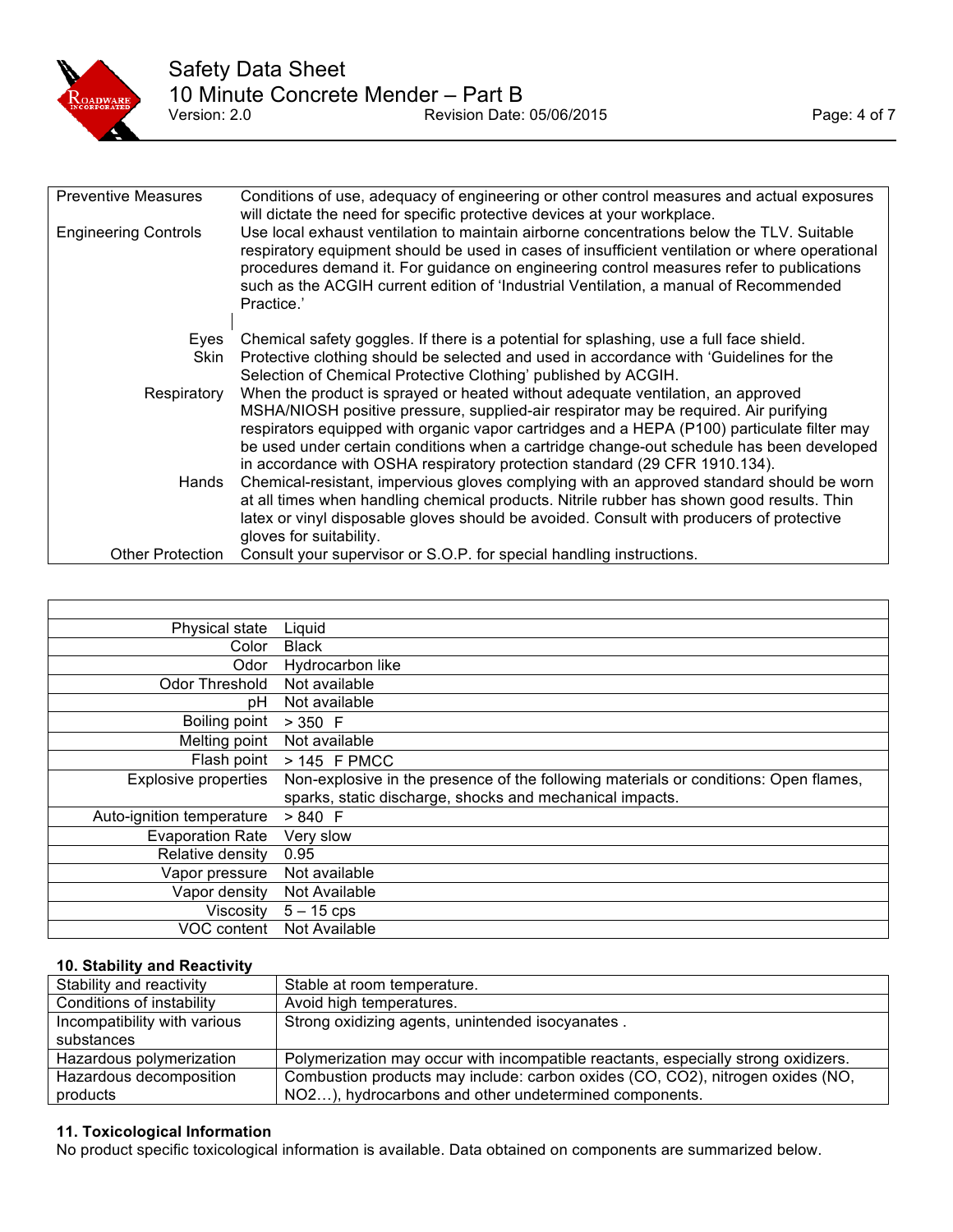

| <b>Preventive Measures</b>  | Conditions of use, adequacy of engineering or other control measures and actual exposures<br>will dictate the need for specific protective devices at your workplace.                                                                                                                                                                                                                                                                            |
|-----------------------------|--------------------------------------------------------------------------------------------------------------------------------------------------------------------------------------------------------------------------------------------------------------------------------------------------------------------------------------------------------------------------------------------------------------------------------------------------|
| <b>Engineering Controls</b> | Use local exhaust ventilation to maintain airborne concentrations below the TLV. Suitable<br>respiratory equipment should be used in cases of insufficient ventilation or where operational<br>procedures demand it. For guidance on engineering control measures refer to publications<br>such as the ACGIH current edition of 'Industrial Ventilation, a manual of Recommended<br>Practice.'                                                   |
| Eves                        | Chemical safety goggles. If there is a potential for splashing, use a full face shield.                                                                                                                                                                                                                                                                                                                                                          |
| <b>Skin</b>                 | Protective clothing should be selected and used in accordance with 'Guidelines for the<br>Selection of Chemical Protective Clothing' published by ACGIH.                                                                                                                                                                                                                                                                                         |
| Respiratory                 | When the product is sprayed or heated without adequate ventilation, an approved<br>MSHA/NIOSH positive pressure, supplied-air respirator may be required. Air purifying<br>respirators equipped with organic vapor cartridges and a HEPA (P100) particulate filter may<br>be used under certain conditions when a cartridge change-out schedule has been developed<br>in accordance with OSHA respiratory protection standard (29 CFR 1910.134). |
| Hands                       | Chemical-resistant, impervious gloves complying with an approved standard should be worn<br>at all times when handling chemical products. Nitrile rubber has shown good results. Thin<br>latex or vinyl disposable gloves should be avoided. Consult with producers of protective<br>gloves for suitability.                                                                                                                                     |
| Other Protection            | Consult your supervisor or S.O.P. for special handling instructions.                                                                                                                                                                                                                                                                                                                                                                             |

| Physical state              | Liquid                                                                               |
|-----------------------------|--------------------------------------------------------------------------------------|
| Color                       | <b>Black</b>                                                                         |
| Odor                        | Hydrocarbon like                                                                     |
| Odor Threshold              | Not available                                                                        |
| рH                          | Not available                                                                        |
| Boiling point               | $>350$ F                                                                             |
| Melting point               | Not available                                                                        |
| Flash point                 | > 145 F PMCC                                                                         |
| <b>Explosive properties</b> | Non-explosive in the presence of the following materials or conditions: Open flames, |
|                             | sparks, static discharge, shocks and mechanical impacts.                             |
| Auto-ignition temperature   | > 840 F                                                                              |
| <b>Evaporation Rate</b>     | Very slow                                                                            |
| Relative density            | 0.95                                                                                 |
| Vapor pressure              | Not available                                                                        |
| Vapor density               | Not Available                                                                        |
| Viscositv                   | $5 - 15$ cps                                                                         |
| VOC content                 | Not Available                                                                        |

#### **10. Stability and Reactivity**

| Stability and reactivity     | Stable at room temperature.                                                        |
|------------------------------|------------------------------------------------------------------------------------|
| Conditions of instability    | Avoid high temperatures.                                                           |
| Incompatibility with various | Strong oxidizing agents, unintended isocyanates.                                   |
| substances                   |                                                                                    |
| Hazardous polymerization     | Polymerization may occur with incompatible reactants, especially strong oxidizers. |
| Hazardous decomposition      | Combustion products may include: carbon oxides (CO, CO2), nitrogen oxides (NO,     |
| products                     | NO2), hydrocarbons and other undetermined components.                              |

## **11. Toxicological Information**

No product specific toxicological information is available. Data obtained on components are summarized below.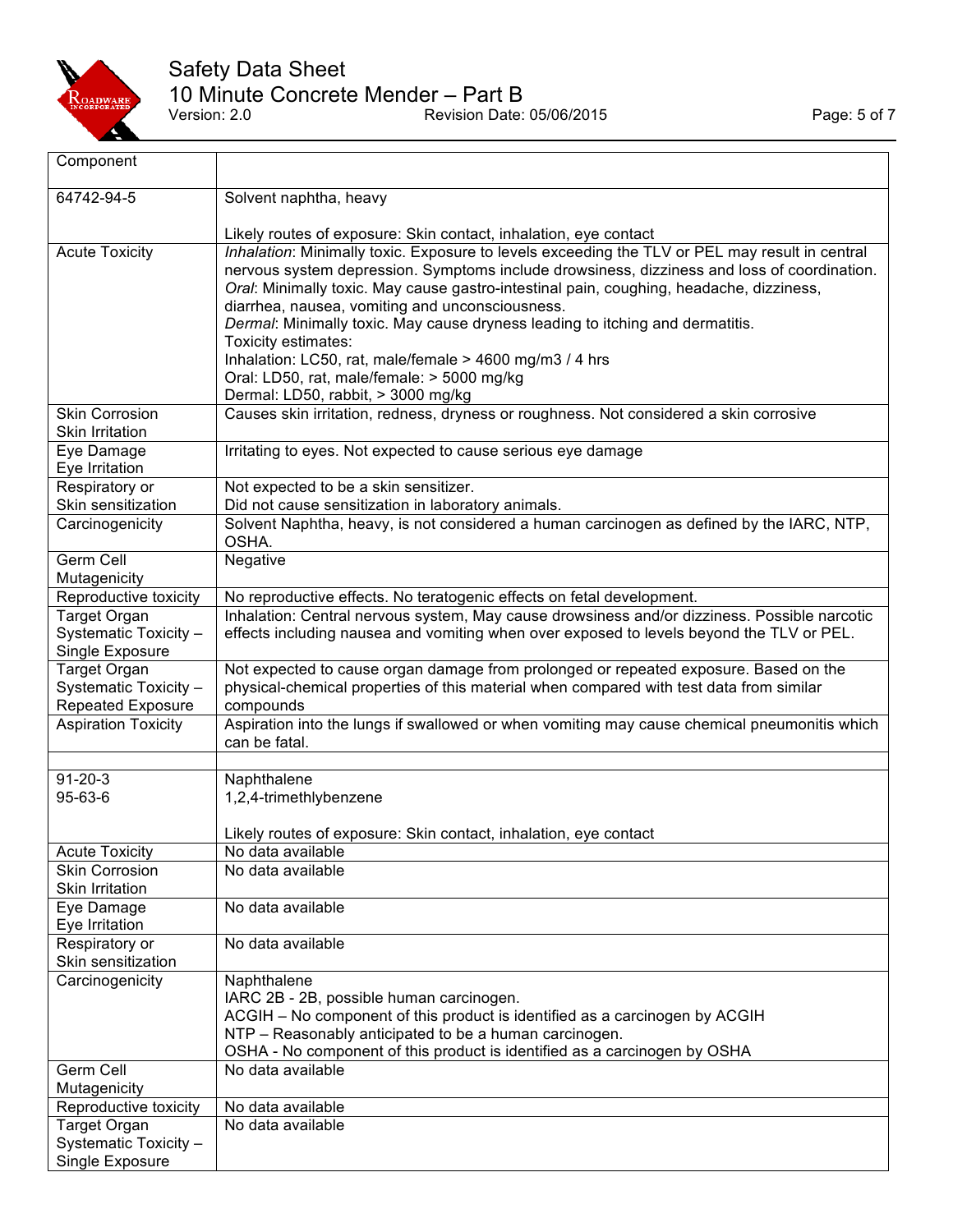

## Safety Data Sheet 10 Minute Concrete Mender – Part B Version: 2.0 **Page: 5 of 7**<br>Version: 2.0 **Revision Date: 05/06/2015** Page: 5 of 7

| Component                              |                                                                                                                                                                                        |
|----------------------------------------|----------------------------------------------------------------------------------------------------------------------------------------------------------------------------------------|
| 64742-94-5                             | Solvent naphtha, heavy                                                                                                                                                                 |
|                                        |                                                                                                                                                                                        |
|                                        | Likely routes of exposure: Skin contact, inhalation, eye contact                                                                                                                       |
| <b>Acute Toxicity</b>                  | Inhalation: Minimally toxic. Exposure to levels exceeding the TLV or PEL may result in central                                                                                         |
|                                        | nervous system depression. Symptoms include drowsiness, dizziness and loss of coordination.<br>Oral: Minimally toxic. May cause gastro-intestinal pain, coughing, headache, dizziness, |
|                                        | diarrhea, nausea, vomiting and unconsciousness.                                                                                                                                        |
|                                        | Dermal: Minimally toxic. May cause dryness leading to itching and dermatitis.                                                                                                          |
|                                        | Toxicity estimates:                                                                                                                                                                    |
|                                        | Inhalation: LC50, rat, male/female > 4600 mg/m3 / 4 hrs                                                                                                                                |
|                                        | Oral: LD50, rat, male/female: > 5000 mg/kg                                                                                                                                             |
|                                        | Dermal: LD50, rabbit, > 3000 mg/kg                                                                                                                                                     |
| <b>Skin Corrosion</b>                  | Causes skin irritation, redness, dryness or roughness. Not considered a skin corrosive                                                                                                 |
| Skin Irritation                        |                                                                                                                                                                                        |
| Eye Damage<br>Eye Irritation           | Irritating to eyes. Not expected to cause serious eye damage                                                                                                                           |
| Respiratory or                         | Not expected to be a skin sensitizer.                                                                                                                                                  |
| Skin sensitization                     | Did not cause sensitization in laboratory animals.                                                                                                                                     |
| Carcinogenicity                        | Solvent Naphtha, heavy, is not considered a human carcinogen as defined by the IARC, NTP,                                                                                              |
|                                        | OSHA.                                                                                                                                                                                  |
| Germ Cell                              | Negative                                                                                                                                                                               |
| Mutagenicity                           |                                                                                                                                                                                        |
| Reproductive toxicity                  | No reproductive effects. No teratogenic effects on fetal development.                                                                                                                  |
| <b>Target Organ</b>                    | Inhalation: Central nervous system, May cause drowsiness and/or dizziness. Possible narcotic                                                                                           |
| Systematic Toxicity -                  | effects including nausea and vomiting when over exposed to levels beyond the TLV or PEL.                                                                                               |
| Single Exposure<br><b>Target Organ</b> | Not expected to cause organ damage from prolonged or repeated exposure. Based on the                                                                                                   |
| Systematic Toxicity -                  | physical-chemical properties of this material when compared with test data from similar                                                                                                |
| <b>Repeated Exposure</b>               | compounds                                                                                                                                                                              |
| <b>Aspiration Toxicity</b>             | Aspiration into the lungs if swallowed or when vomiting may cause chemical pneumonitis which                                                                                           |
|                                        | can be fatal.                                                                                                                                                                          |
|                                        |                                                                                                                                                                                        |
| $91 - 20 - 3$                          | Naphthalene                                                                                                                                                                            |
| 95-63-6                                | 1,2,4-trimethlybenzene                                                                                                                                                                 |
|                                        | Likely routes of exposure: Skin contact, inhalation, eye contact                                                                                                                       |
| <b>Acute Toxicity</b>                  | No data available                                                                                                                                                                      |
| <b>Skin Corrosion</b>                  | No data available                                                                                                                                                                      |
| Skin Irritation                        |                                                                                                                                                                                        |
| Eye Damage                             | No data available                                                                                                                                                                      |
| Eye Irritation                         |                                                                                                                                                                                        |
| Respiratory or                         | No data available                                                                                                                                                                      |
| Skin sensitization                     |                                                                                                                                                                                        |
| Carcinogenicity                        | Naphthalene                                                                                                                                                                            |
|                                        | IARC 2B - 2B, possible human carcinogen.                                                                                                                                               |
|                                        | ACGIH - No component of this product is identified as a carcinogen by ACGIH<br>NTP - Reasonably anticipated to be a human carcinogen.                                                  |
|                                        | OSHA - No component of this product is identified as a carcinogen by OSHA                                                                                                              |
| Germ Cell                              | No data available                                                                                                                                                                      |
| Mutagenicity                           |                                                                                                                                                                                        |
| Reproductive toxicity                  | No data available                                                                                                                                                                      |
| Target Organ                           | No data available                                                                                                                                                                      |
| Systematic Toxicity -                  |                                                                                                                                                                                        |
| Single Exposure                        |                                                                                                                                                                                        |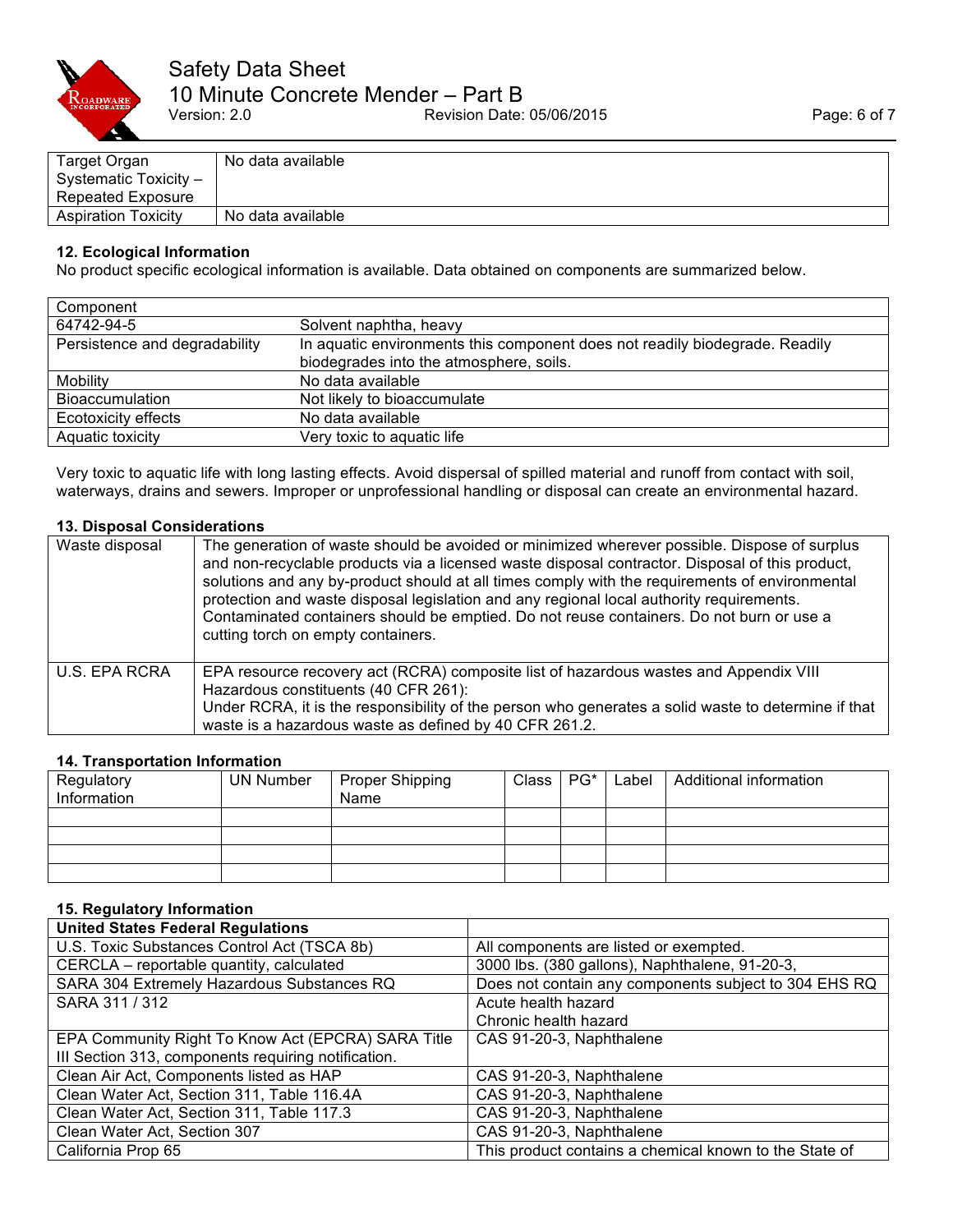

| Target Organ               | No data available |
|----------------------------|-------------------|
| Systematic Toxicity -      |                   |
| Repeated Exposure          |                   |
| <b>Aspiration Toxicity</b> | No data available |

### **12. Ecological Information**

No product specific ecological information is available. Data obtained on components are summarized below.

| Component                     |                                                                             |
|-------------------------------|-----------------------------------------------------------------------------|
| 64742-94-5                    | Solvent naphtha, heavy                                                      |
| Persistence and degradability | In aquatic environments this component does not readily biodegrade. Readily |
|                               | biodegrades into the atmosphere, soils.                                     |
| Mobility                      | No data available                                                           |
| <b>Bioaccumulation</b>        | Not likely to bioaccumulate                                                 |
| Ecotoxicity effects           | No data available                                                           |
| Aquatic toxicity              | Very toxic to aquatic life                                                  |

Very toxic to aquatic life with long lasting effects. Avoid dispersal of spilled material and runoff from contact with soil, waterways, drains and sewers. Improper or unprofessional handling or disposal can create an environmental hazard.

## **13. Disposal Considerations**

| Waste disposal | The generation of waste should be avoided or minimized wherever possible. Dispose of surplus<br>and non-recyclable products via a licensed waste disposal contractor. Disposal of this product,<br>solutions and any by-product should at all times comply with the requirements of environmental<br>protection and waste disposal legislation and any regional local authority requirements.<br>Contaminated containers should be emptied. Do not reuse containers. Do not burn or use a<br>cutting torch on empty containers. |
|----------------|---------------------------------------------------------------------------------------------------------------------------------------------------------------------------------------------------------------------------------------------------------------------------------------------------------------------------------------------------------------------------------------------------------------------------------------------------------------------------------------------------------------------------------|
| U.S. EPA RCRA  | EPA resource recovery act (RCRA) composite list of hazardous wastes and Appendix VIII<br>Hazardous constituents (40 CFR 261):<br>Under RCRA, it is the responsibility of the person who generates a solid waste to determine if that<br>waste is a hazardous waste as defined by 40 CFR 261.2.                                                                                                                                                                                                                                  |

## **14. Transportation Information**

| Regulatory  | <b>UN Number</b> | Proper Shipping | Class | $PG^*$ | Label | Additional information |
|-------------|------------------|-----------------|-------|--------|-------|------------------------|
| Information |                  | Name            |       |        |       |                        |
|             |                  |                 |       |        |       |                        |
|             |                  |                 |       |        |       |                        |
|             |                  |                 |       |        |       |                        |
|             |                  |                 |       |        |       |                        |

## **15. Regulatory Information**

| <b>United States Federal Regulations</b>            |                                                        |
|-----------------------------------------------------|--------------------------------------------------------|
| U.S. Toxic Substances Control Act (TSCA 8b)         | All components are listed or exempted.                 |
| CERCLA - reportable quantity, calculated            | 3000 lbs. (380 gallons), Naphthalene, 91-20-3,         |
| SARA 304 Extremely Hazardous Substances RQ          | Does not contain any components subject to 304 EHS RQ  |
| SARA 311 / 312                                      | Acute health hazard                                    |
|                                                     | Chronic health hazard                                  |
| EPA Community Right To Know Act (EPCRA) SARA Title  | CAS 91-20-3, Naphthalene                               |
| III Section 313, components requiring notification. |                                                        |
| Clean Air Act, Components listed as HAP             | CAS 91-20-3, Naphthalene                               |
| Clean Water Act, Section 311, Table 116.4A          | CAS 91-20-3, Naphthalene                               |
| Clean Water Act, Section 311, Table 117.3           | CAS 91-20-3, Naphthalene                               |
| Clean Water Act, Section 307                        | CAS 91-20-3, Naphthalene                               |
| California Prop 65                                  | This product contains a chemical known to the State of |